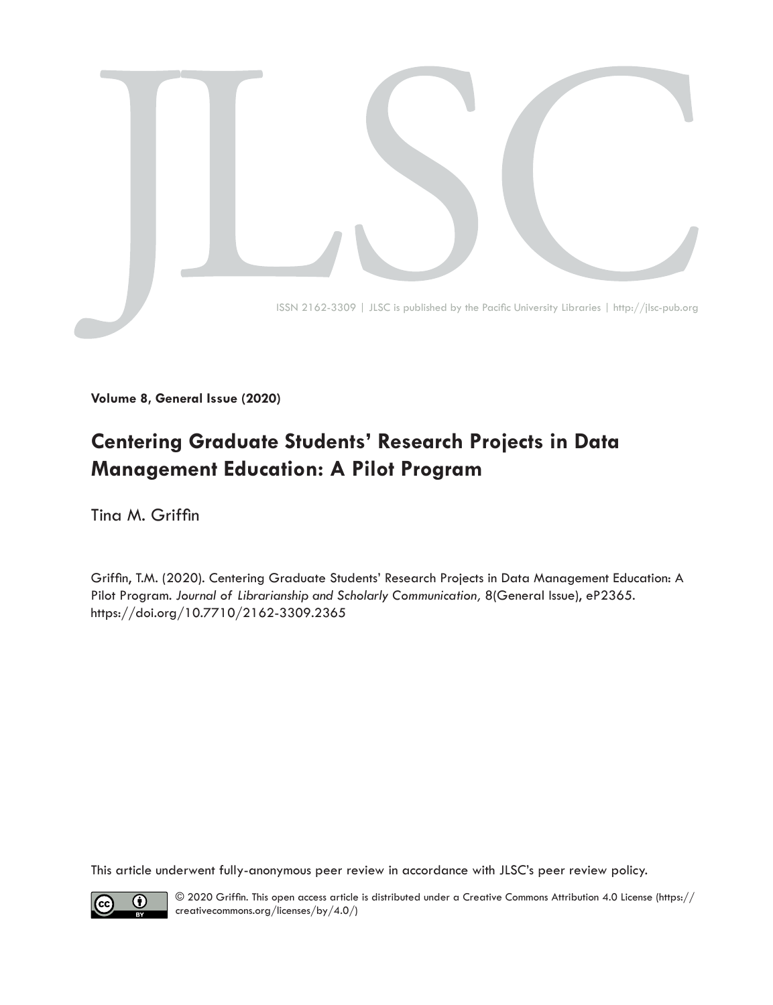

**Volume 8, General Issue (2020)**

# **Centering Graduate Students' Research Projects in Data Management Education: A Pilot Program**

Tina M. Griffin

Griffin, T.M. (2020). Centering Graduate Students' Research Projects in Data Management Education: A Pilot Program. *Journal of Librarianship and Scholarly Communication,* 8(General Issue), eP2365. [https://doi.org/10.7710/2162-3309.2](https://doi.org/10.7710/2162-3309.2365)365

This article underwent fully-anonymous peer review in accordance with JLSC's peer review policy.



© 2020 Griffin. This open access article is distributed under a Creative Commons Attribution 4.0 License [\(https://](https://creativecommons.org/licenses/by/4.0/) [creativecommons.org/licenses/by/4.0/](https://creativecommons.org/licenses/by/4.0/))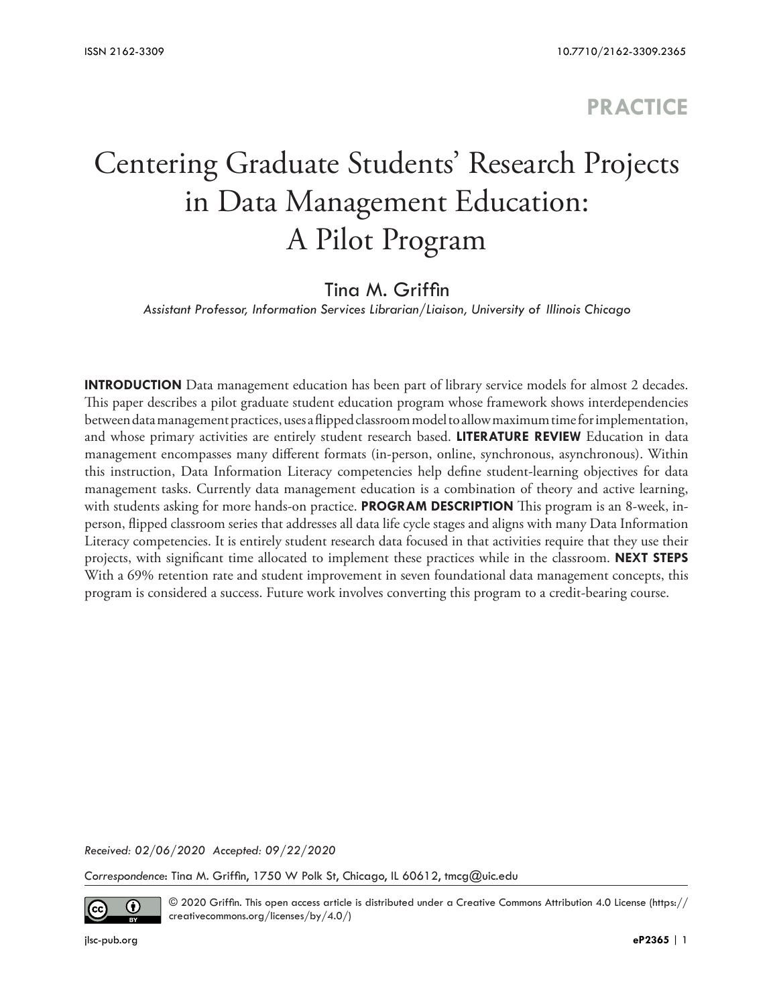## **PRACTICE**

# Centering Graduate Students' Research Projects in Data Management Education: A Pilot Program

### Tina M. Griffin

*Assistant Professor, Information Services Librarian/Liaison, University of Illinois Chicago*

**INTRODUCTION** Data management education has been part of library service models for almost 2 decades. This paper describes a pilot graduate student education program whose framework shows interdependencies between data management practices, uses a flipped classroom model to allow maximum time for implementation, and whose primary activities are entirely student research based. **LITERATURE REVIEW** Education in data management encompasses many different formats (in-person, online, synchronous, asynchronous). Within this instruction, Data Information Literacy competencies help define student-learning objectives for data management tasks. Currently data management education is a combination of theory and active learning, with students asking for more hands-on practice. **PROGRAM DESCRIPTION** This program is an 8-week, inperson, flipped classroom series that addresses all data life cycle stages and aligns with many Data Information Literacy competencies. It is entirely student research data focused in that activities require that they use their projects, with significant time allocated to implement these practices while in the classroom. **NEXT STEPS**  With a 69% retention rate and student improvement in seven foundational data management concepts, this program is considered a success. Future work involves converting this program to a credit-bearing course.

*Received: 02/06/2020 Accepted: 09/22/2020* 

*Correspondence*: Tina M. Griffin, 1750 W Polk St, Chicago, IL 60612, tmcg@uic.edu



© 2020 Griffin. This open access article is distributed under a Creative Commons Attribution 4.0 License ([https://](https://creativecommons.org/licenses/by/4.0/) [creativecommons.org/licenses/by/4.0/](https://creativecommons.org/licenses/by/4.0/))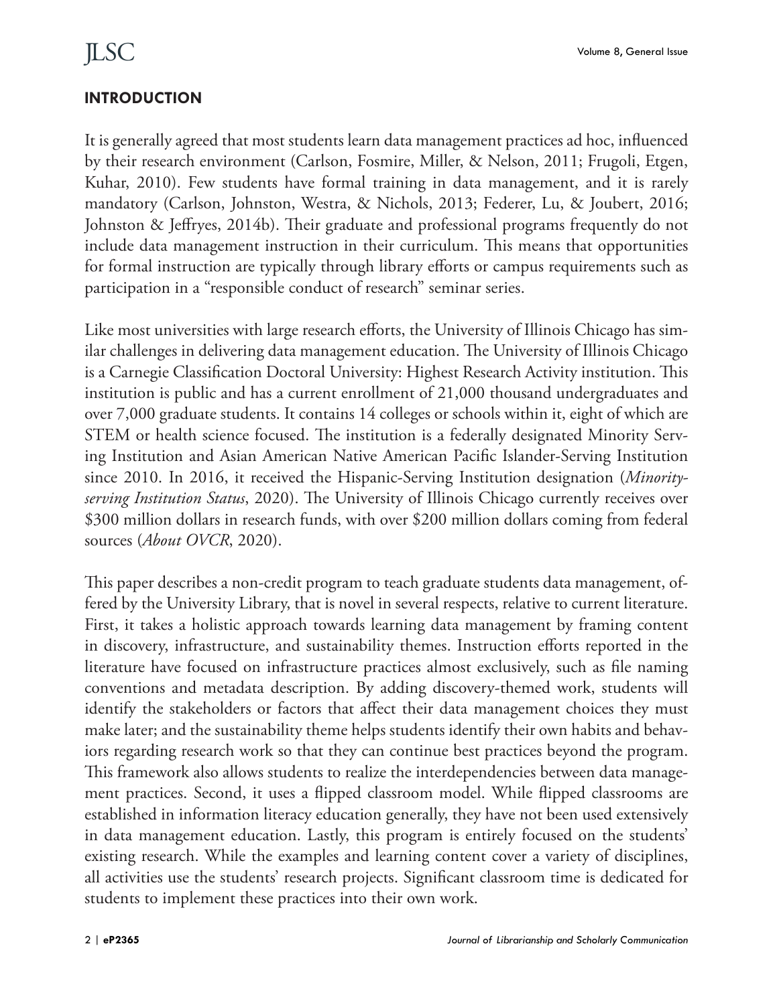### **INTRODUCTION**

It is generally agreed that most students learn data management practices ad hoc, influenced by their research environment (Carlson, Fosmire, Miller, & Nelson, 2011; Frugoli, Etgen, Kuhar, 2010). Few students have formal training in data management, and it is rarely mandatory (Carlson, Johnston, Westra, & Nichols, 2013; Federer, Lu, & Joubert, 2016; Johnston & Jeffryes, 2014b). Their graduate and professional programs frequently do not include data management instruction in their curriculum. This means that opportunities for formal instruction are typically through library efforts or campus requirements such as participation in a "responsible conduct of research" seminar series.

Like most universities with large research efforts, the University of Illinois Chicago has similar challenges in delivering data management education. The University of Illinois Chicago is a Carnegie Classification Doctoral University: Highest Research Activity institution. This institution is public and has a current enrollment of 21,000 thousand undergraduates and over 7,000 graduate students. It contains 14 colleges or schools within it, eight of which are STEM or health science focused. The institution is a federally designated Minority Serving Institution and Asian American Native American Pacific Islander-Serving Institution since 2010. In 2016, it received the Hispanic-Serving Institution designation (*Minorityserving Institution Status*, 2020). The University of Illinois Chicago currently receives over \$300 million dollars in research funds, with over \$200 million dollars coming from federal sources (*About OVCR*, 2020).

This paper describes a non-credit program to teach graduate students data management, offered by the University Library, that is novel in several respects, relative to current literature. First, it takes a holistic approach towards learning data management by framing content in discovery, infrastructure, and sustainability themes. Instruction efforts reported in the literature have focused on infrastructure practices almost exclusively, such as file naming conventions and metadata description. By adding discovery-themed work, students will identify the stakeholders or factors that affect their data management choices they must make later; and the sustainability theme helps students identify their own habits and behaviors regarding research work so that they can continue best practices beyond the program. This framework also allows students to realize the interdependencies between data management practices. Second, it uses a flipped classroom model. While flipped classrooms are established in information literacy education generally, they have not been used extensively in data management education. Lastly, this program is entirely focused on the students' existing research. While the examples and learning content cover a variety of disciplines, all activities use the students' research projects. Significant classroom time is dedicated for students to implement these practices into their own work.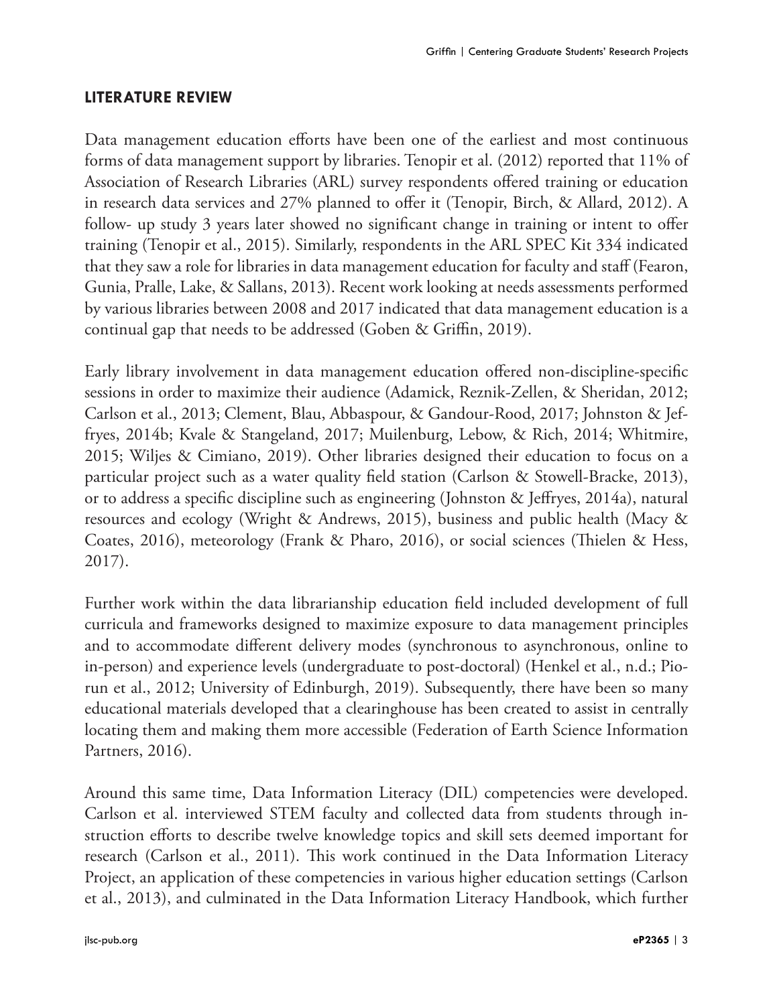#### **LITERATURE REVIEW**

Data management education efforts have been one of the earliest and most continuous forms of data management support by libraries. Tenopir et al. (2012) reported that 11% of Association of Research Libraries (ARL) survey respondents offered training or education in research data services and 27% planned to offer it (Tenopir, Birch, & Allard, 2012). A follow- up study 3 years later showed no significant change in training or intent to offer training (Tenopir et al., 2015). Similarly, respondents in the ARL SPEC Kit 334 indicated that they saw a role for libraries in data management education for faculty and staff (Fearon, Gunia, Pralle, Lake, & Sallans, 2013). Recent work looking at needs assessments performed by various libraries between 2008 and 2017 indicated that data management education is a continual gap that needs to be addressed (Goben & Griffin, 2019).

Early library involvement in data management education offered non-discipline-specific sessions in order to maximize their audience (Adamick, Reznik-Zellen, & Sheridan, 2012; Carlson et al., 2013; Clement, Blau, Abbaspour, & Gandour-Rood, 2017; Johnston & Jeffryes, 2014b; Kvale & Stangeland, 2017; Muilenburg, Lebow, & Rich, 2014; Whitmire, 2015; Wiljes & Cimiano, 2019). Other libraries designed their education to focus on a particular project such as a water quality field station (Carlson & Stowell-Bracke, 2013), or to address a specific discipline such as engineering (Johnston & Jeffryes, 2014a), natural resources and ecology (Wright & Andrews, 2015), business and public health (Macy & Coates, 2016), meteorology (Frank & Pharo, 2016), or social sciences (Thielen & Hess, 2017).

Further work within the data librarianship education field included development of full curricula and frameworks designed to maximize exposure to data management principles and to accommodate different delivery modes (synchronous to asynchronous, online to in-person) and experience levels (undergraduate to post-doctoral) (Henkel et al., n.d.; Piorun et al., 2012; University of Edinburgh, 2019). Subsequently, there have been so many educational materials developed that a clearinghouse has been created to assist in centrally locating them and making them more accessible (Federation of Earth Science Information Partners, 2016).

Around this same time, Data Information Literacy (DIL) competencies were developed. Carlson et al. interviewed STEM faculty and collected data from students through instruction efforts to describe twelve knowledge topics and skill sets deemed important for research (Carlson et al., 2011). This work continued in the Data Information Literacy Project, an application of these competencies in various higher education settings (Carlson et al., 2013), and culminated in the Data Information Literacy Handbook, which further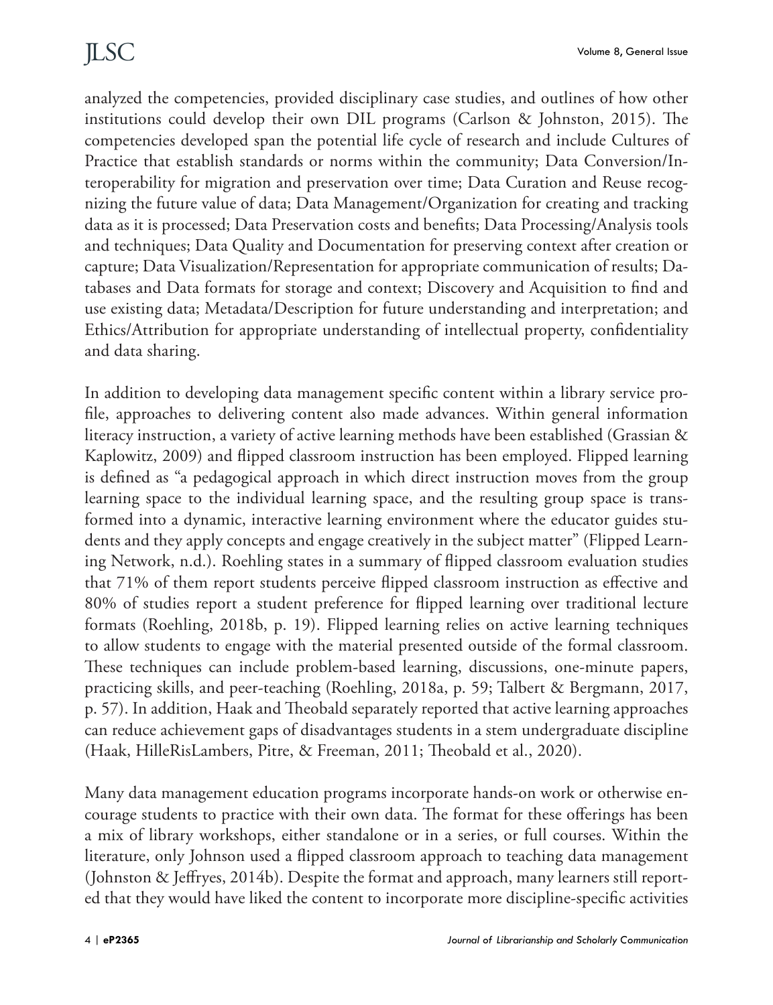analyzed the competencies, provided disciplinary case studies, and outlines of how other institutions could develop their own DIL programs (Carlson & Johnston, 2015). The competencies developed span the potential life cycle of research and include Cultures of Practice that establish standards or norms within the community; Data Conversion/Interoperability for migration and preservation over time; Data Curation and Reuse recognizing the future value of data; Data Management/Organization for creating and tracking data as it is processed; Data Preservation costs and benefits; Data Processing/Analysis tools and techniques; Data Quality and Documentation for preserving context after creation or capture; Data Visualization/Representation for appropriate communication of results; Databases and Data formats for storage and context; Discovery and Acquisition to find and use existing data; Metadata/Description for future understanding and interpretation; and Ethics/Attribution for appropriate understanding of intellectual property, confidentiality and data sharing.

In addition to developing data management specific content within a library service profile, approaches to delivering content also made advances. Within general information literacy instruction, a variety of active learning methods have been established (Grassian & Kaplowitz, 2009) and flipped classroom instruction has been employed. Flipped learning is defined as "a pedagogical approach in which direct instruction moves from the group learning space to the individual learning space, and the resulting group space is transformed into a dynamic, interactive learning environment where the educator guides students and they apply concepts and engage creatively in the subject matter" (Flipped Learning Network, n.d.). Roehling states in a summary of flipped classroom evaluation studies that 71% of them report students perceive flipped classroom instruction as effective and 80% of studies report a student preference for flipped learning over traditional lecture formats (Roehling, 2018b, p. 19). Flipped learning relies on active learning techniques to allow students to engage with the material presented outside of the formal classroom. These techniques can include problem-based learning, discussions, one-minute papers, practicing skills, and peer-teaching (Roehling, 2018a, p. 59; Talbert & Bergmann, 2017, p. 57). In addition, Haak and Theobald separately reported that active learning approaches can reduce achievement gaps of disadvantages students in a stem undergraduate discipline (Haak, HilleRisLambers, Pitre, & Freeman, 2011; Theobald et al., 2020).

Many data management education programs incorporate hands-on work or otherwise encourage students to practice with their own data. The format for these offerings has been a mix of library workshops, either standalone or in a series, or full courses. Within the literature, only Johnson used a flipped classroom approach to teaching data management (Johnston & Jeffryes, 2014b). Despite the format and approach, many learners still reported that they would have liked the content to incorporate more discipline-specific activities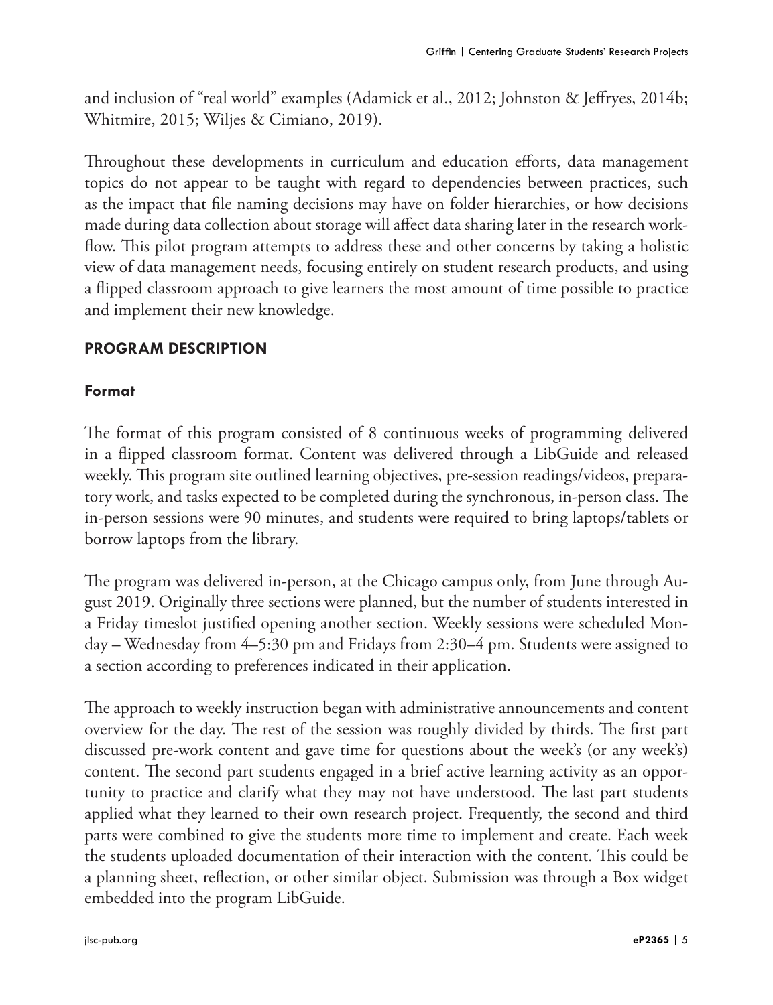and inclusion of "real world" examples (Adamick et al., 2012; Johnston & Jeffryes, 2014b; Whitmire, 2015; Wiljes & Cimiano, 2019).

Throughout these developments in curriculum and education efforts, data management topics do not appear to be taught with regard to dependencies between practices, such as the impact that file naming decisions may have on folder hierarchies, or how decisions made during data collection about storage will affect data sharing later in the research workflow. This pilot program attempts to address these and other concerns by taking a holistic view of data management needs, focusing entirely on student research products, and using a flipped classroom approach to give learners the most amount of time possible to practice and implement their new knowledge.

#### **PROGRAM DESCRIPTION**

#### **Format**

The format of this program consisted of 8 continuous weeks of programming delivered in a flipped classroom format. Content was delivered through a LibGuide and released weekly. This program site outlined learning objectives, pre-session readings/videos, preparatory work, and tasks expected to be completed during the synchronous, in-person class. The in-person sessions were 90 minutes, and students were required to bring laptops/tablets or borrow laptops from the library.

The program was delivered in-person, at the Chicago campus only, from June through August 2019. Originally three sections were planned, but the number of students interested in a Friday timeslot justified opening another section. Weekly sessions were scheduled Monday – Wednesday from 4–5:30 pm and Fridays from 2:30–4 pm. Students were assigned to a section according to preferences indicated in their application.

The approach to weekly instruction began with administrative announcements and content overview for the day. The rest of the session was roughly divided by thirds. The first part discussed pre-work content and gave time for questions about the week's (or any week's) content. The second part students engaged in a brief active learning activity as an opportunity to practice and clarify what they may not have understood. The last part students applied what they learned to their own research project. Frequently, the second and third parts were combined to give the students more time to implement and create. Each week the students uploaded documentation of their interaction with the content. This could be a planning sheet, reflection, or other similar object. Submission was through a Box widget embedded into the program LibGuide.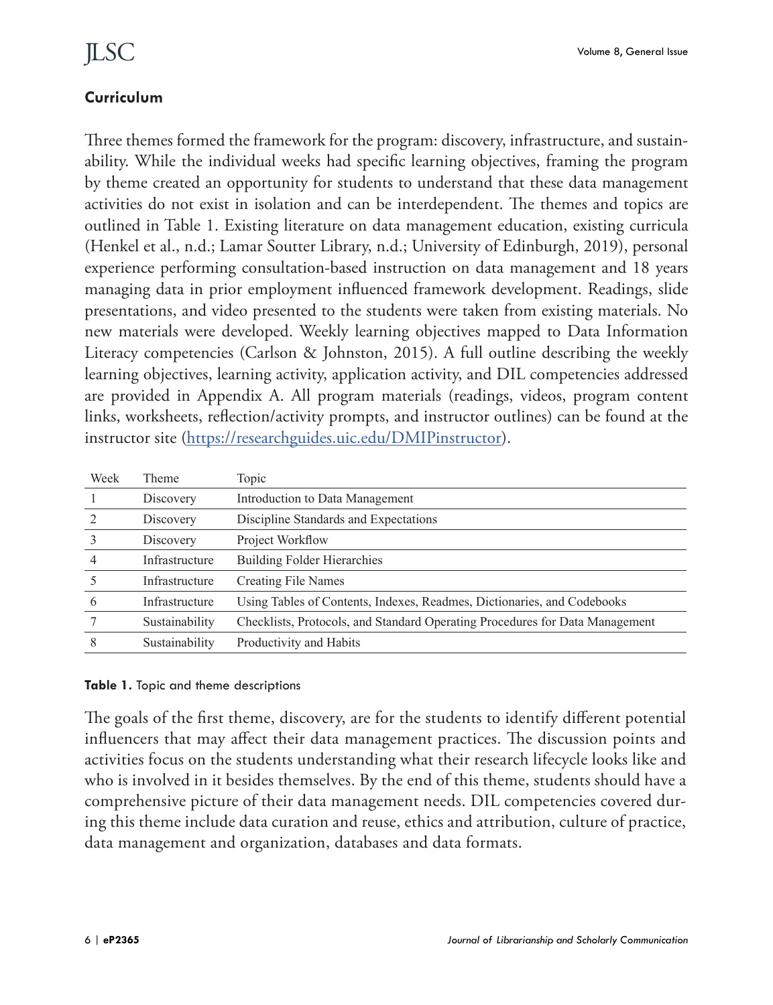### **Curriculum**

Three themes formed the framework for the program: discovery, infrastructure, and sustainability. While the individual weeks had specific learning objectives, framing the program by theme created an opportunity for students to understand that these data management activities do not exist in isolation and can be interdependent. The themes and topics are outlined in Table 1. Existing literature on data management education, existing curricula (Henkel et al., n.d.; Lamar Soutter Library, n.d.; University of Edinburgh, 2019), personal experience performing consultation-based instruction on data management and 18 years managing data in prior employment influenced framework development. Readings, slide presentations, and video presented to the students were taken from existing materials. No new materials were developed. Weekly learning objectives mapped to Data Information Literacy competencies (Carlson & Johnston, 2015). A full outline describing the weekly learning objectives, learning activity, application activity, and DIL competencies addressed are provided in Appendix A. All program materials (readings, videos, program content links, worksheets, reflection/activity prompts, and instructor outlines) can be found at the instructor site [\(https://researchguides.uic.edu/DMIPinstructor](https://researchguides.uic.edu/DMIPinstructor)).

| Week | Theme          | Topic                                                                        |
|------|----------------|------------------------------------------------------------------------------|
|      | Discovery      | Introduction to Data Management                                              |
|      | Discovery      | Discipline Standards and Expectations                                        |
|      | Discovery      | Project Workflow                                                             |
| 4    | Infrastructure | <b>Building Folder Hierarchies</b>                                           |
|      | Infrastructure | <b>Creating File Names</b>                                                   |
| 6    | Infrastructure | Using Tables of Contents, Indexes, Readmes, Dictionaries, and Codebooks      |
|      | Sustainability | Checklists, Protocols, and Standard Operating Procedures for Data Management |
| 8    | Sustainability | Productivity and Habits                                                      |

#### **Table 1.** Topic and theme descriptions

The goals of the first theme, discovery, are for the students to identify different potential influencers that may affect their data management practices. The discussion points and activities focus on the students understanding what their research lifecycle looks like and who is involved in it besides themselves. By the end of this theme, students should have a comprehensive picture of their data management needs. DIL competencies covered during this theme include data curation and reuse, ethics and attribution, culture of practice, data management and organization, databases and data formats.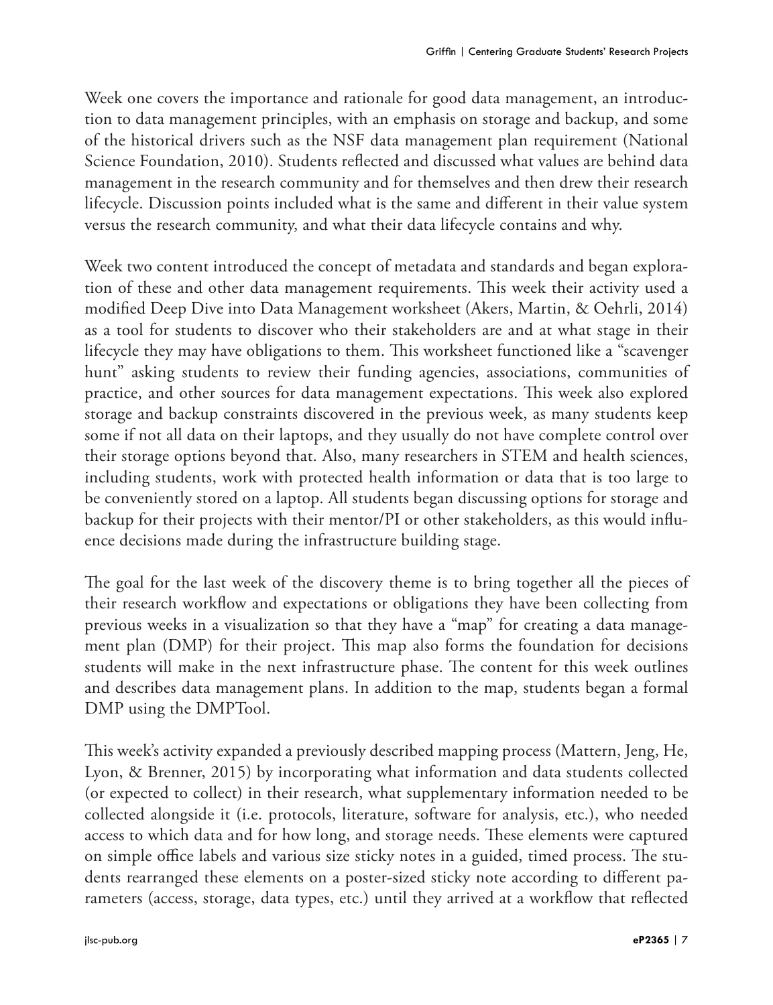Week one covers the importance and rationale for good data management, an introduction to data management principles, with an emphasis on storage and backup, and some of the historical drivers such as the NSF data management plan requirement (National Science Foundation, 2010). Students reflected and discussed what values are behind data management in the research community and for themselves and then drew their research lifecycle. Discussion points included what is the same and different in their value system versus the research community, and what their data lifecycle contains and why.

Week two content introduced the concept of metadata and standards and began exploration of these and other data management requirements. This week their activity used a modified Deep Dive into Data Management worksheet (Akers, Martin, & Oehrli, 2014) as a tool for students to discover who their stakeholders are and at what stage in their lifecycle they may have obligations to them. This worksheet functioned like a "scavenger hunt" asking students to review their funding agencies, associations, communities of practice, and other sources for data management expectations. This week also explored storage and backup constraints discovered in the previous week, as many students keep some if not all data on their laptops, and they usually do not have complete control over their storage options beyond that. Also, many researchers in STEM and health sciences, including students, work with protected health information or data that is too large to be conveniently stored on a laptop. All students began discussing options for storage and backup for their projects with their mentor/PI or other stakeholders, as this would influence decisions made during the infrastructure building stage.

The goal for the last week of the discovery theme is to bring together all the pieces of their research workflow and expectations or obligations they have been collecting from previous weeks in a visualization so that they have a "map" for creating a data management plan (DMP) for their project. This map also forms the foundation for decisions students will make in the next infrastructure phase. The content for this week outlines and describes data management plans. In addition to the map, students began a formal DMP using the DMPTool.

This week's activity expanded a previously described mapping process (Mattern, Jeng, He, Lyon, & Brenner, 2015) by incorporating what information and data students collected (or expected to collect) in their research, what supplementary information needed to be collected alongside it (i.e. protocols, literature, software for analysis, etc.), who needed access to which data and for how long, and storage needs. These elements were captured on simple office labels and various size sticky notes in a guided, timed process. The students rearranged these elements on a poster-sized sticky note according to different parameters (access, storage, data types, etc.) until they arrived at a workflow that reflected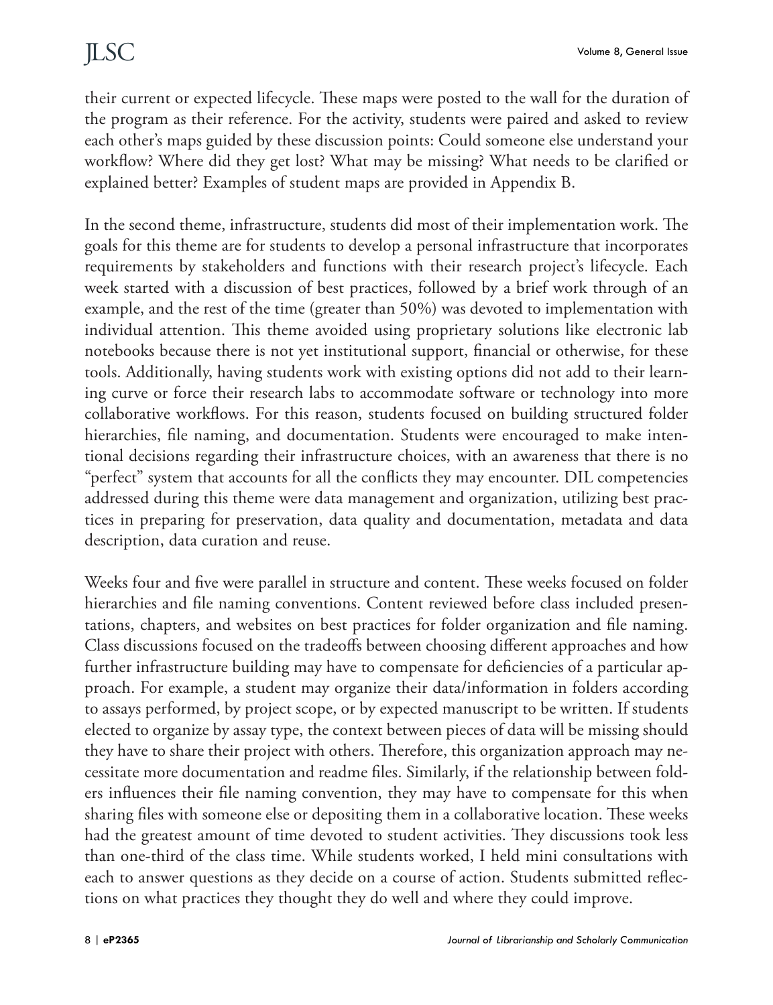their current or expected lifecycle. These maps were posted to the wall for the duration of the program as their reference. For the activity, students were paired and asked to review each other's maps guided by these discussion points: Could someone else understand your workflow? Where did they get lost? What may be missing? What needs to be clarified or explained better? Examples of student maps are provided in Appendix B.

In the second theme, infrastructure, students did most of their implementation work. The goals for this theme are for students to develop a personal infrastructure that incorporates requirements by stakeholders and functions with their research project's lifecycle. Each week started with a discussion of best practices, followed by a brief work through of an example, and the rest of the time (greater than 50%) was devoted to implementation with individual attention. This theme avoided using proprietary solutions like electronic lab notebooks because there is not yet institutional support, financial or otherwise, for these tools. Additionally, having students work with existing options did not add to their learning curve or force their research labs to accommodate software or technology into more collaborative workflows. For this reason, students focused on building structured folder hierarchies, file naming, and documentation. Students were encouraged to make intentional decisions regarding their infrastructure choices, with an awareness that there is no "perfect" system that accounts for all the conflicts they may encounter. DIL competencies addressed during this theme were data management and organization, utilizing best practices in preparing for preservation, data quality and documentation, metadata and data description, data curation and reuse.

Weeks four and five were parallel in structure and content. These weeks focused on folder hierarchies and file naming conventions. Content reviewed before class included presentations, chapters, and websites on best practices for folder organization and file naming. Class discussions focused on the tradeoffs between choosing different approaches and how further infrastructure building may have to compensate for deficiencies of a particular approach. For example, a student may organize their data/information in folders according to assays performed, by project scope, or by expected manuscript to be written. If students elected to organize by assay type, the context between pieces of data will be missing should they have to share their project with others. Therefore, this organization approach may necessitate more documentation and readme files. Similarly, if the relationship between folders influences their file naming convention, they may have to compensate for this when sharing files with someone else or depositing them in a collaborative location. These weeks had the greatest amount of time devoted to student activities. They discussions took less than one-third of the class time. While students worked, I held mini consultations with each to answer questions as they decide on a course of action. Students submitted reflections on what practices they thought they do well and where they could improve.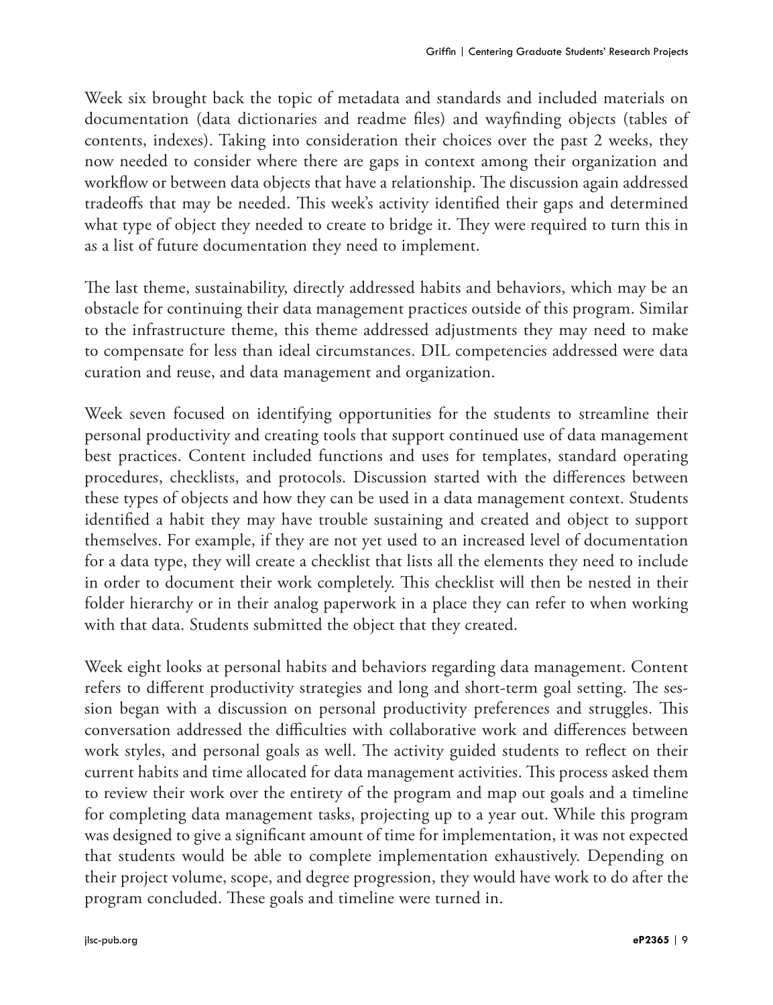Week six brought back the topic of metadata and standards and included materials on documentation (data dictionaries and readme files) and wayfinding objects (tables of contents, indexes). Taking into consideration their choices over the past 2 weeks, they now needed to consider where there are gaps in context among their organization and workflow or between data objects that have a relationship. The discussion again addressed tradeoffs that may be needed. This week's activity identified their gaps and determined what type of object they needed to create to bridge it. They were required to turn this in as a list of future documentation they need to implement.

The last theme, sustainability, directly addressed habits and behaviors, which may be an obstacle for continuing their data management practices outside of this program. Similar to the infrastructure theme, this theme addressed adjustments they may need to make to compensate for less than ideal circumstances. DIL competencies addressed were data curation and reuse, and data management and organization.

Week seven focused on identifying opportunities for the students to streamline their personal productivity and creating tools that support continued use of data management best practices. Content included functions and uses for templates, standard operating procedures, checklists, and protocols. Discussion started with the differences between these types of objects and how they can be used in a data management context. Students identified a habit they may have trouble sustaining and created and object to support themselves. For example, if they are not yet used to an increased level of documentation for a data type, they will create a checklist that lists all the elements they need to include in order to document their work completely. This checklist will then be nested in their folder hierarchy or in their analog paperwork in a place they can refer to when working with that data. Students submitted the object that they created.

Week eight looks at personal habits and behaviors regarding data management. Content refers to different productivity strategies and long and short-term goal setting. The session began with a discussion on personal productivity preferences and struggles. This conversation addressed the difficulties with collaborative work and differences between work styles, and personal goals as well. The activity guided students to reflect on their current habits and time allocated for data management activities. This process asked them to review their work over the entirety of the program and map out goals and a timeline for completing data management tasks, projecting up to a year out. While this program was designed to give a significant amount of time for implementation, it was not expected that students would be able to complete implementation exhaustively. Depending on their project volume, scope, and degree progression, they would have work to do after the program concluded. These goals and timeline were turned in.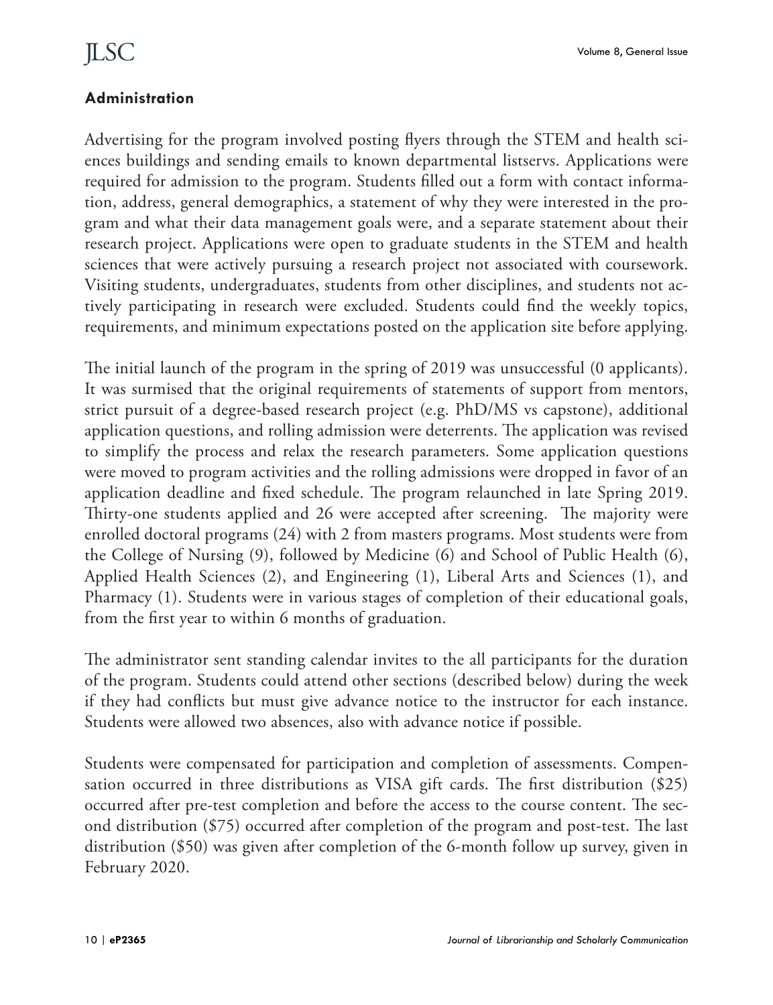#### **Administration**

Advertising for the program involved posting flyers through the STEM and health sciences buildings and sending emails to known departmental listservs. Applications were required for admission to the program. Students filled out a form with contact information, address, general demographics, a statement of why they were interested in the program and what their data management goals were, and a separate statement about their research project. Applications were open to graduate students in the STEM and health sciences that were actively pursuing a research project not associated with coursework. Visiting students, undergraduates, students from other disciplines, and students not actively participating in research were excluded. Students could find the weekly topics, requirements, and minimum expectations posted on the application site before applying.

The initial launch of the program in the spring of 2019 was unsuccessful (0 applicants). It was surmised that the original requirements of statements of support from mentors, strict pursuit of a degree-based research project (e.g. PhD/MS vs capstone), additional application questions, and rolling admission were deterrents. The application was revised to simplify the process and relax the research parameters. Some application questions were moved to program activities and the rolling admissions were dropped in favor of an application deadline and fixed schedule. The program relaunched in late Spring 2019. Thirty-one students applied and 26 were accepted after screening. The majority were enrolled doctoral programs (24) with 2 from masters programs. Most students were from the College of Nursing (9), followed by Medicine (6) and School of Public Health (6), Applied Health Sciences (2), and Engineering (1), Liberal Arts and Sciences (1), and Pharmacy (1). Students were in various stages of completion of their educational goals, from the first year to within 6 months of graduation.

The administrator sent standing calendar invites to the all participants for the duration of the program. Students could attend other sections (described below) during the week if they had conflicts but must give advance notice to the instructor for each instance. Students were allowed two absences, also with advance notice if possible.

Students were compensated for participation and completion of assessments. Compensation occurred in three distributions as VISA gift cards. The first distribution (\$25) occurred after pre-test completion and before the access to the course content. The second distribution (\$75) occurred after completion of the program and post-test. The last distribution (\$50) was given after completion of the 6-month follow up survey, given in February 2020.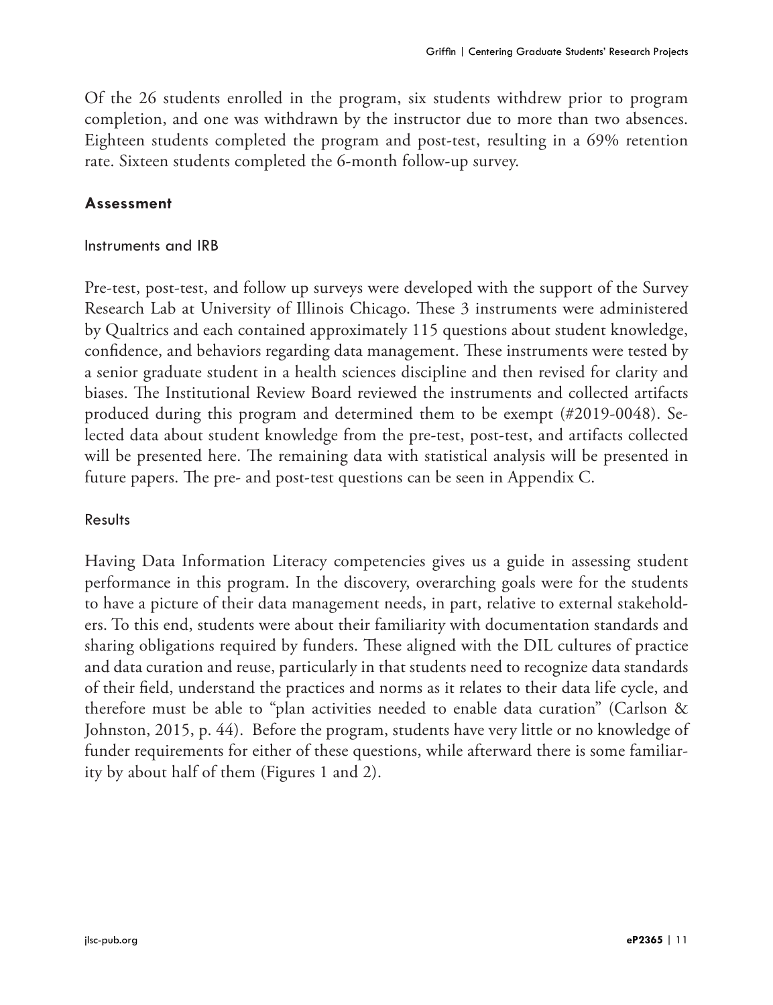Of the 26 students enrolled in the program, six students withdrew prior to program completion, and one was withdrawn by the instructor due to more than two absences. Eighteen students completed the program and post-test, resulting in a 69% retention rate. Sixteen students completed the 6-month follow-up survey.

#### **Assessment**

#### Instruments and IRB

Pre-test, post-test, and follow up surveys were developed with the support of the Survey Research Lab at University of Illinois Chicago. These 3 instruments were administered by Qualtrics and each contained approximately 115 questions about student knowledge, confidence, and behaviors regarding data management. These instruments were tested by a senior graduate student in a health sciences discipline and then revised for clarity and biases. The Institutional Review Board reviewed the instruments and collected artifacts produced during this program and determined them to be exempt (#2019-0048). Selected data about student knowledge from the pre-test, post-test, and artifacts collected will be presented here. The remaining data with statistical analysis will be presented in future papers. The pre- and post-test questions can be seen in Appendix C.

#### Results

Having Data Information Literacy competencies gives us a guide in assessing student performance in this program. In the discovery, overarching goals were for the students to have a picture of their data management needs, in part, relative to external stakeholders. To this end, students were about their familiarity with documentation standards and sharing obligations required by funders. These aligned with the DIL cultures of practice and data curation and reuse, particularly in that students need to recognize data standards of their field, understand the practices and norms as it relates to their data life cycle, and therefore must be able to "plan activities needed to enable data curation" (Carlson & Johnston, 2015, p. 44). Before the program, students have very little or no knowledge of funder requirements for either of these questions, while afterward there is some familiarity by about half of them (Figures 1 and 2).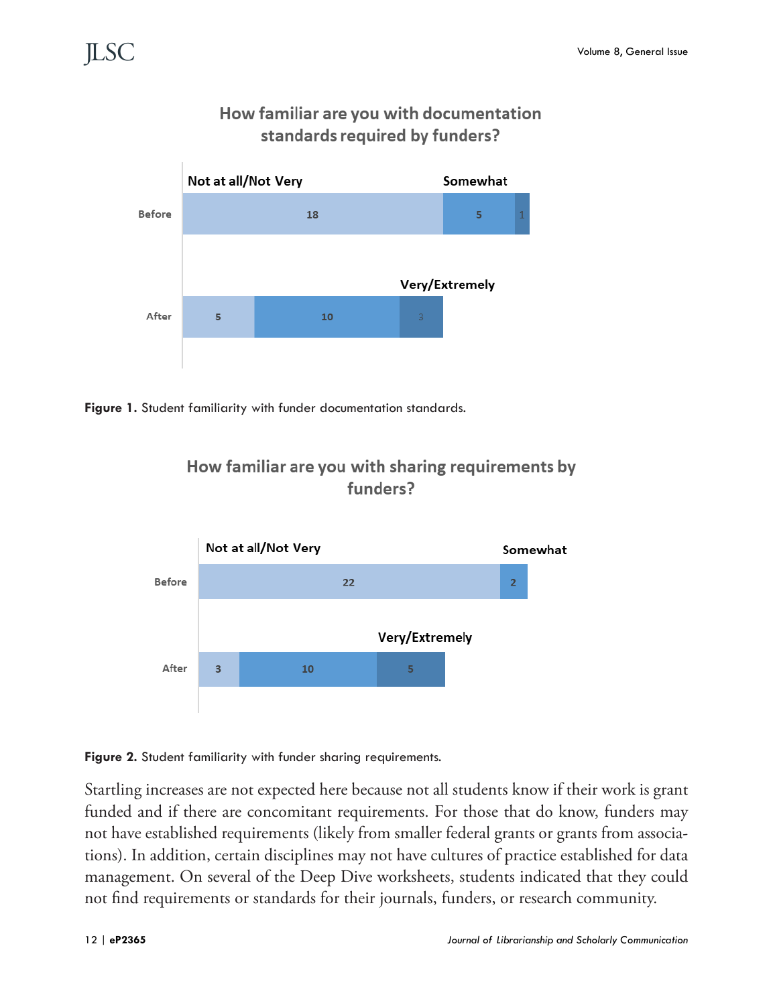

### How familiar are you with documentation standards required by funders?

Figure 1. Student familiarity with funder documentation standards.





**Figure 2.** Student familiarity with funder sharing requirements.

Startling increases are not expected here because not all students know if their work is grant funded and if there are concomitant requirements. For those that do know, funders may not have established requirements (likely from smaller federal grants or grants from associations). In addition, certain disciplines may not have cultures of practice established for data management. On several of the Deep Dive worksheets, students indicated that they could not find requirements or standards for their journals, funders, or research community.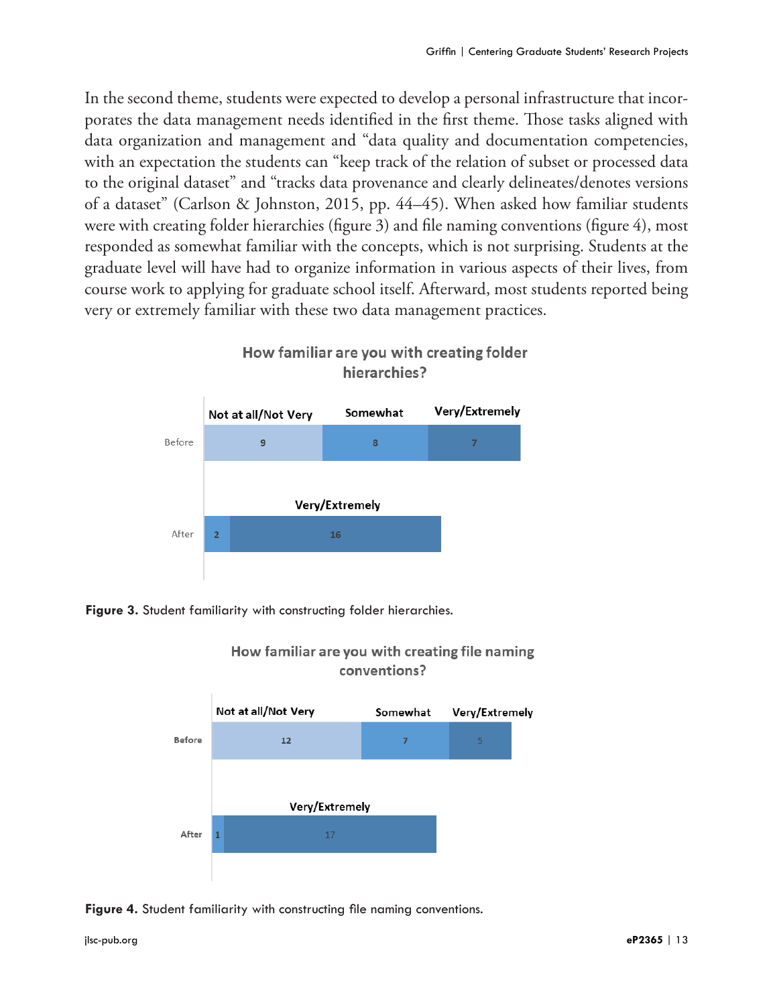In the second theme, students were expected to develop a personal infrastructure that incorporates the data management needs identified in the first theme. Those tasks aligned with data organization and management and "data quality and documentation competencies, with an expectation the students can "keep track of the relation of subset or processed data to the original dataset" and "tracks data provenance and clearly delineates/denotes versions of a dataset" (Carlson & Johnston, 2015, pp. 44–45). When asked how familiar students were with creating folder hierarchies (figure 3) and file naming conventions (figure 4), most responded as somewhat familiar with the concepts, which is not surprising. Students at the graduate level will have had to organize information in various aspects of their lives, from course work to applying for graduate school itself. Afterward, most students reported being very or extremely familiar with these two data management practices.



### How familiar are you with creating folder hierarchies?

Figure 3. Student familiarity with constructing folder hierarchies.



#### How familiar are you with creating file naming conventions?

#### **Figure 4.** Student familiarity with constructing file naming conventions.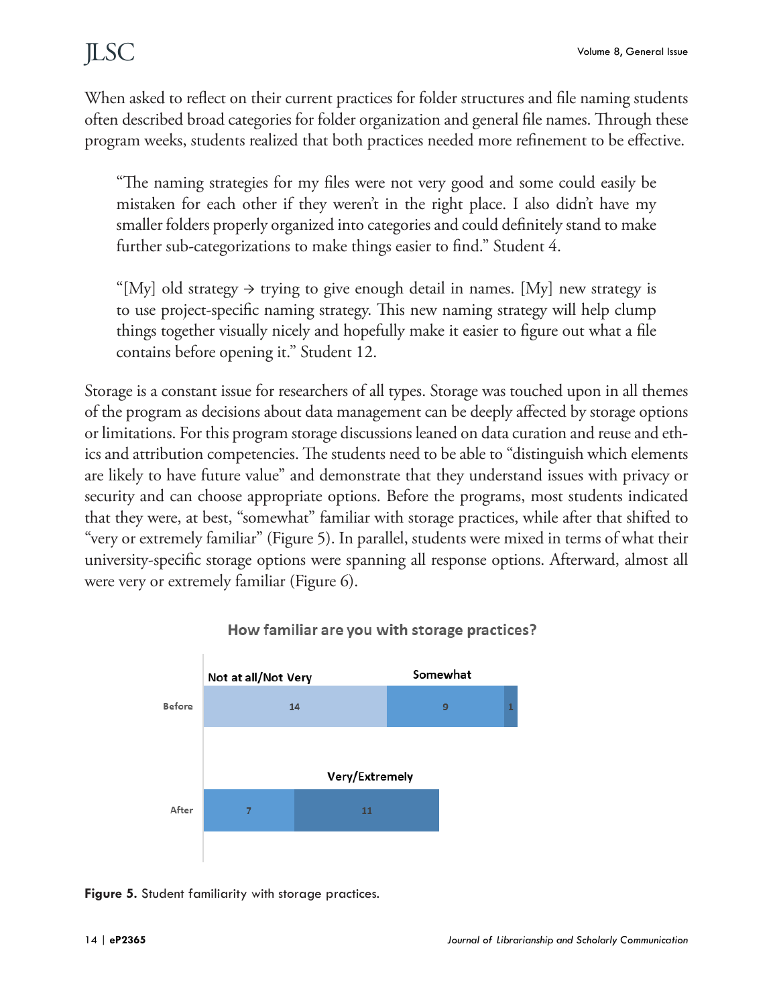When asked to reflect on their current practices for folder structures and file naming students often described broad categories for folder organization and general file names. Through these program weeks, students realized that both practices needed more refinement to be effective.

"The naming strategies for my files were not very good and some could easily be mistaken for each other if they weren't in the right place. I also didn't have my smaller folders properly organized into categories and could definitely stand to make further sub-categorizations to make things easier to find." Student 4.

"[My] old strategy  $\rightarrow$  trying to give enough detail in names. [My] new strategy is to use project-specific naming strategy. This new naming strategy will help clump things together visually nicely and hopefully make it easier to figure out what a file contains before opening it." Student 12.

Storage is a constant issue for researchers of all types. Storage was touched upon in all themes of the program as decisions about data management can be deeply affected by storage options or limitations. For this program storage discussions leaned on data curation and reuse and ethics and attribution competencies. The students need to be able to "distinguish which elements are likely to have future value" and demonstrate that they understand issues with privacy or security and can choose appropriate options. Before the programs, most students indicated that they were, at best, "somewhat" familiar with storage practices, while after that shifted to "very or extremely familiar" (Figure 5). In parallel, students were mixed in terms of what their university-specific storage options were spanning all response options. Afterward, almost all were very or extremely familiar (Figure 6).



#### How familiar are you with storage practices?

Figure 5. Student familiarity with storage practices.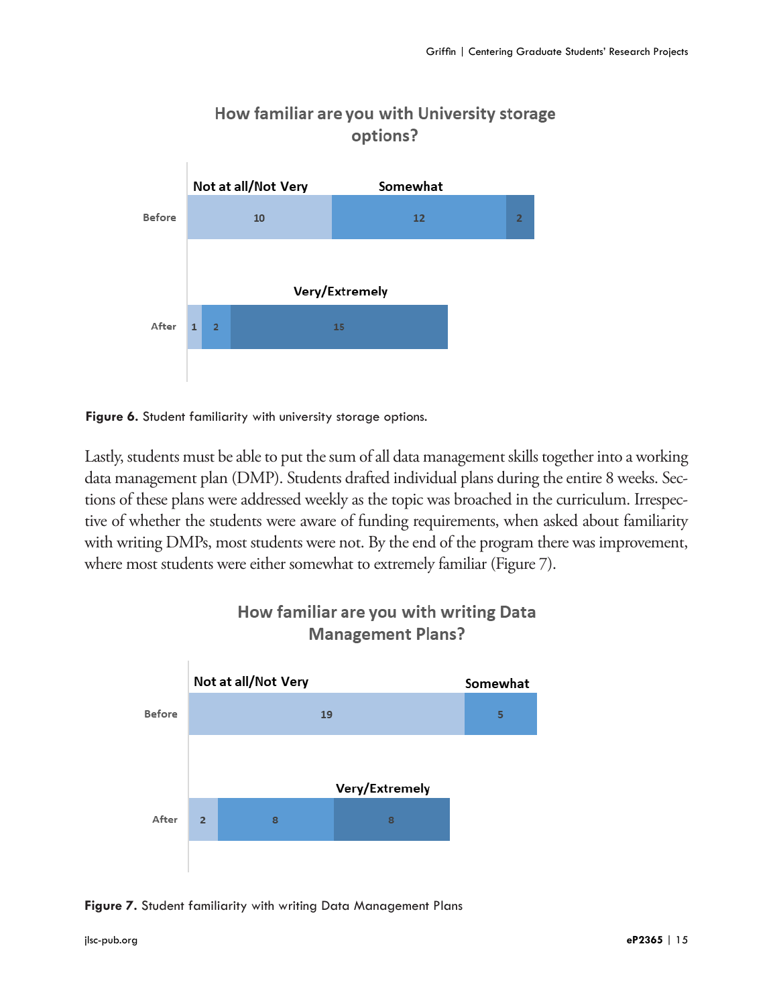

### How familiar are you with University storage options?

**Figure 6.** Student familiarity with university storage options.

Lastly, students must be able to put the sum of all data management skills together into a working data management plan (DMP). Students drafted individual plans during the entire 8 weeks. Sections of these plans were addressed weekly as the topic was broached in the curriculum. Irrespective of whether the students were aware of funding requirements, when asked about familiarity with writing DMPs, most students were not. By the end of the program there was improvement, where most students were either somewhat to extremely familiar (Figure 7).



### How familiar are you with writing Data **Management Plans?**

**Figure 7.** Student familiarity with writing Data Management Plans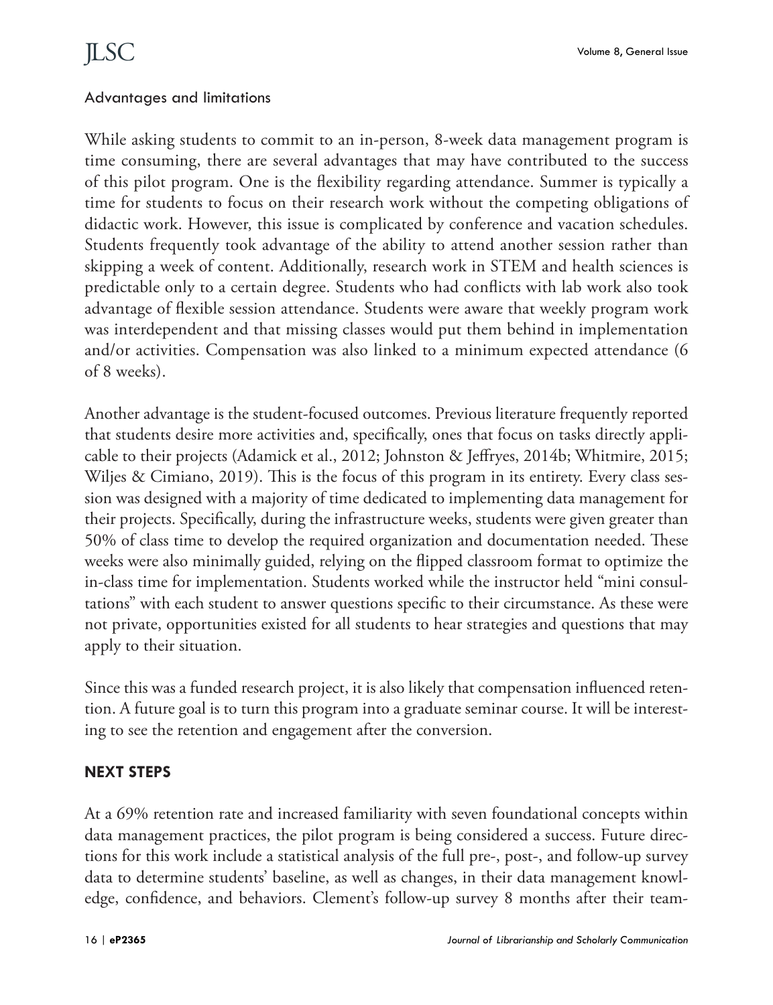#### Advantages and limitations

While asking students to commit to an in-person, 8-week data management program is time consuming, there are several advantages that may have contributed to the success of this pilot program. One is the flexibility regarding attendance. Summer is typically a time for students to focus on their research work without the competing obligations of didactic work. However, this issue is complicated by conference and vacation schedules. Students frequently took advantage of the ability to attend another session rather than skipping a week of content. Additionally, research work in STEM and health sciences is predictable only to a certain degree. Students who had conflicts with lab work also took advantage of flexible session attendance. Students were aware that weekly program work was interdependent and that missing classes would put them behind in implementation and/or activities. Compensation was also linked to a minimum expected attendance (6 of 8 weeks).

Another advantage is the student-focused outcomes. Previous literature frequently reported that students desire more activities and, specifically, ones that focus on tasks directly applicable to their projects (Adamick et al., 2012; Johnston & Jeffryes, 2014b; Whitmire, 2015; Wiljes & Cimiano, 2019). This is the focus of this program in its entirety. Every class session was designed with a majority of time dedicated to implementing data management for their projects. Specifically, during the infrastructure weeks, students were given greater than 50% of class time to develop the required organization and documentation needed. These weeks were also minimally guided, relying on the flipped classroom format to optimize the in-class time for implementation. Students worked while the instructor held "mini consultations" with each student to answer questions specific to their circumstance. As these were not private, opportunities existed for all students to hear strategies and questions that may apply to their situation.

Since this was a funded research project, it is also likely that compensation influenced retention. A future goal is to turn this program into a graduate seminar course. It will be interesting to see the retention and engagement after the conversion.

#### **NEXT STEPS**

At a 69% retention rate and increased familiarity with seven foundational concepts within data management practices, the pilot program is being considered a success. Future directions for this work include a statistical analysis of the full pre-, post-, and follow-up survey data to determine students' baseline, as well as changes, in their data management knowledge, confidence, and behaviors. Clement's follow-up survey 8 months after their team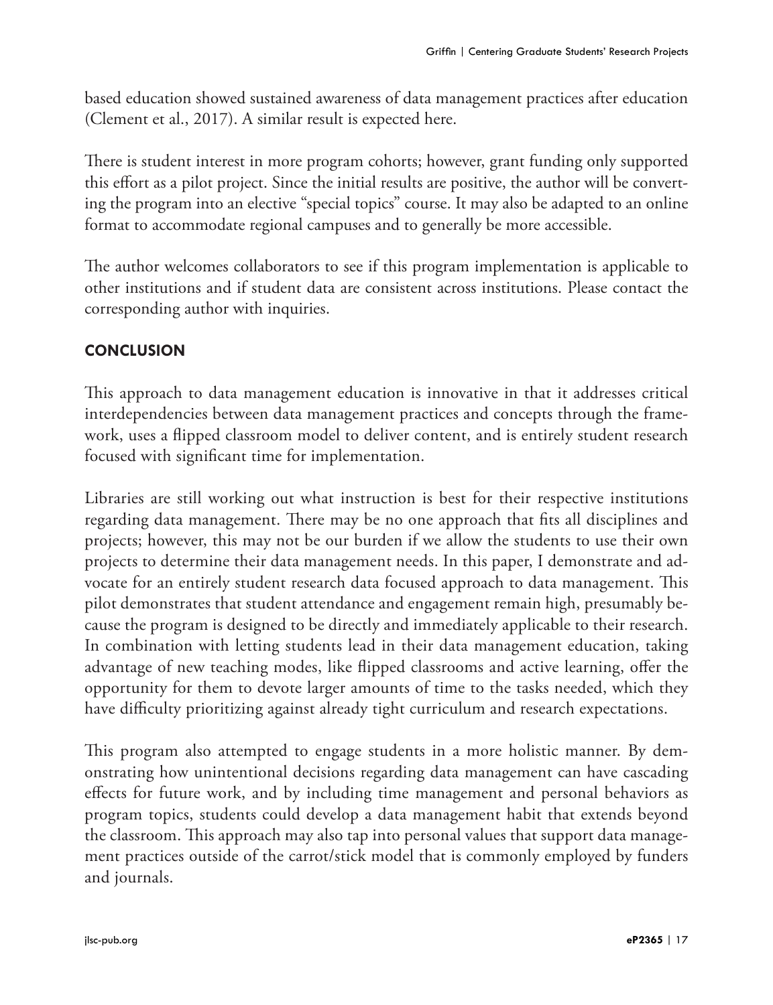based education showed sustained awareness of data management practices after education (Clement et al., 2017). A similar result is expected here.

There is student interest in more program cohorts; however, grant funding only supported this effort as a pilot project. Since the initial results are positive, the author will be converting the program into an elective "special topics" course. It may also be adapted to an online format to accommodate regional campuses and to generally be more accessible.

The author welcomes collaborators to see if this program implementation is applicable to other institutions and if student data are consistent across institutions. Please contact the corresponding author with inquiries.

### **CONCLUSION**

This approach to data management education is innovative in that it addresses critical interdependencies between data management practices and concepts through the framework, uses a flipped classroom model to deliver content, and is entirely student research focused with significant time for implementation.

Libraries are still working out what instruction is best for their respective institutions regarding data management. There may be no one approach that fits all disciplines and projects; however, this may not be our burden if we allow the students to use their own projects to determine their data management needs. In this paper, I demonstrate and advocate for an entirely student research data focused approach to data management. This pilot demonstrates that student attendance and engagement remain high, presumably because the program is designed to be directly and immediately applicable to their research. In combination with letting students lead in their data management education, taking advantage of new teaching modes, like flipped classrooms and active learning, offer the opportunity for them to devote larger amounts of time to the tasks needed, which they have difficulty prioritizing against already tight curriculum and research expectations.

This program also attempted to engage students in a more holistic manner. By demonstrating how unintentional decisions regarding data management can have cascading effects for future work, and by including time management and personal behaviors as program topics, students could develop a data management habit that extends beyond the classroom. This approach may also tap into personal values that support data management practices outside of the carrot/stick model that is commonly employed by funders and journals.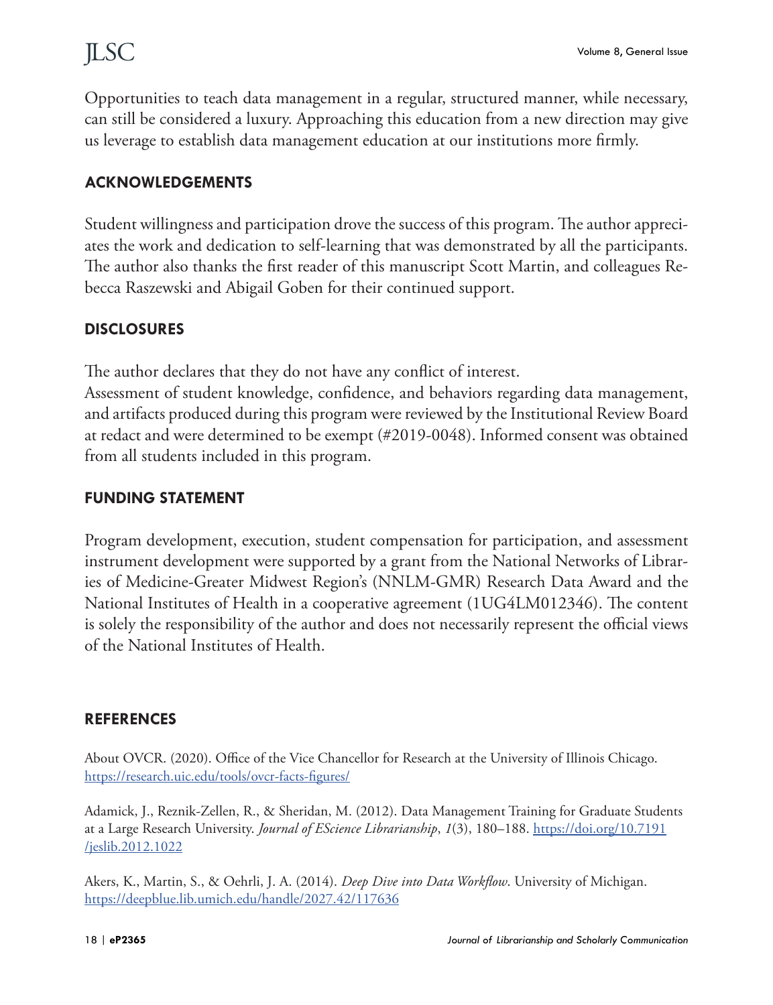Opportunities to teach data management in a regular, structured manner, while necessary, can still be considered a luxury. Approaching this education from a new direction may give us leverage to establish data management education at our institutions more firmly.

#### **ACKNOWLEDGEMENTS**

Student willingness and participation drove the success of this program. The author appreciates the work and dedication to self-learning that was demonstrated by all the participants. The author also thanks the first reader of this manuscript Scott Martin, and colleagues Rebecca Raszewski and Abigail Goben for their continued support.

#### **DISCLOSURES**

The author declares that they do not have any conflict of interest.

Assessment of student knowledge, confidence, and behaviors regarding data management, and artifacts produced during this program were reviewed by the Institutional Review Board at redact and were determined to be exempt (#2019-0048). Informed consent was obtained from all students included in this program.

#### **FUNDING STATEMENT**

Program development, execution, student compensation for participation, and assessment instrument development were supported by a grant from the National Networks of Libraries of Medicine-Greater Midwest Region's (NNLM-GMR) Research Data Award and the National Institutes of Health in a cooperative agreement (1UG4LM012346). The content is solely the responsibility of the author and does not necessarily represent the official views of the National Institutes of Health.

#### **REFERENCES**

About OVCR. (2020). Office of the Vice Chancellor for Research at the University of Illinois Chicago. <https://research.uic.edu/tools/ovcr-facts-figures/>

Adamick, J., Reznik-Zellen, R., & Sheridan, M. (2012). Data Management Training for Graduate Students at a Large Research University. *Journal of EScience Librarianship*, *1*(3), 180–188. [https://doi.org/10.7191](https://doi.org/10.7191/jeslib.2012.1022) [/jeslib.2012.1022](https://doi.org/10.7191/jeslib.2012.1022)

Akers, K., Martin, S., & Oehrli, J. A. (2014). *Deep Dive into Data Workflow*. University of Michigan. <https://deepblue.lib.umich.edu/handle/2027.42/117636>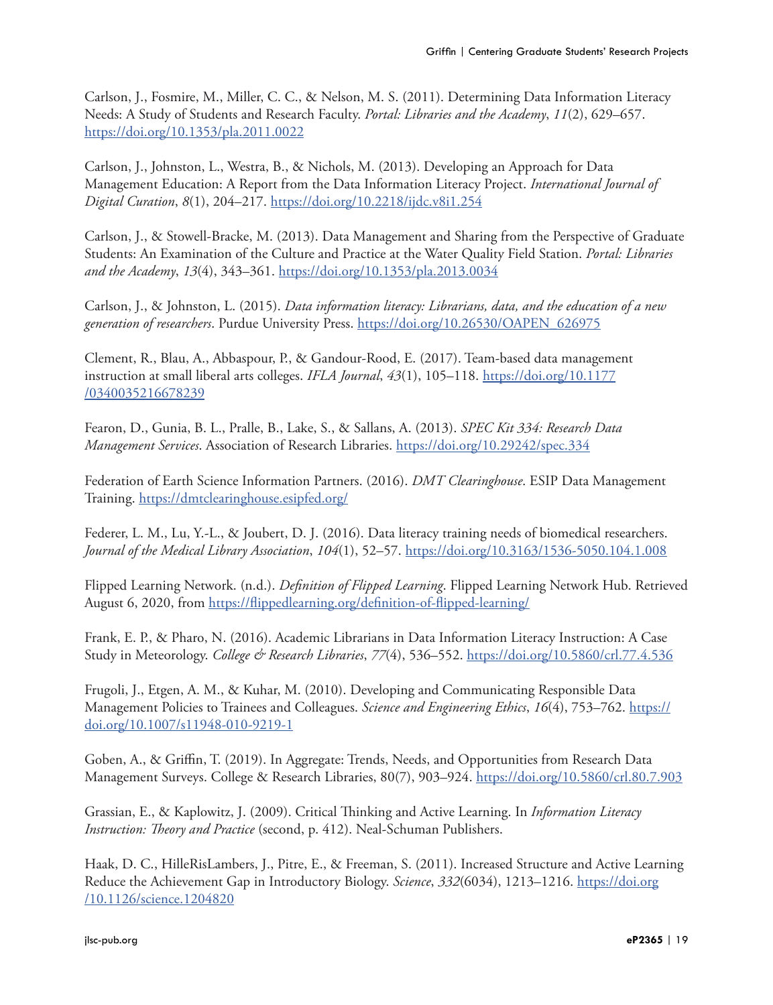Carlson, J., Fosmire, M., Miller, C. C., & Nelson, M. S. (2011). Determining Data Information Literacy Needs: A Study of Students and Research Faculty. *Portal: Libraries and the Academy*, *11*(2), 629–657. <https://doi.org/10.1353/pla.2011.0022>

Carlson, J., Johnston, L., Westra, B., & Nichols, M. (2013). Developing an Approach for Data Management Education: A Report from the Data Information Literacy Project. *International Journal of Digital Curation*, *8*(1), 204–217.<https://doi.org/10.2218/ijdc.v8i1.254>

Carlson, J., & Stowell-Bracke, M. (2013). Data Management and Sharing from the Perspective of Graduate Students: An Examination of the Culture and Practice at the Water Quality Field Station. *Portal: Libraries and the Academy*, *13*(4), 343–361. <https://doi.org/10.1353/pla.2013.0034>

Carlson, J., & Johnston, L. (2015). *Data information literacy: Librarians, data, and the education of a new generation of researchers*. Purdue University Press. [https://doi.org/10.26530/OAPEN\\_626975](https://doi.org/10.26530/OAPEN_626975)

Clement, R., Blau, A., Abbaspour, P., & Gandour-Rood, E. (2017). Team-based data management instruction at small liberal arts colleges. *IFLA Journal*, *43*(1), 105–118. [https://doi.org/10.1177](https://doi.org/10.1177/0340035216678239) [/0340035216678239](https://doi.org/10.1177/0340035216678239)

Fearon, D., Gunia, B. L., Pralle, B., Lake, S., & Sallans, A. (2013). *SPEC Kit 334: Research Data Management Services*. Association of Research Libraries.<https://doi.org/10.29242/spec.334>

Federation of Earth Science Information Partners. (2016). *DMT Clearinghouse*. ESIP Data Management Training.<https://dmtclearinghouse.esipfed.org/>

Federer, L. M., Lu, Y.-L., & Joubert, D. J. (2016). Data literacy training needs of biomedical researchers. *Journal of the Medical Library Association*, *104*(1), 52–57. <https://doi.org/10.3163/1536-5050.104.1.008>

Flipped Learning Network. (n.d.). *Definition of Flipped Learning*. Flipped Learning Network Hub. Retrieved August 6, 2020, from<https://flippedlearning.org/definition-of-flipped-learning/>

Frank, E. P., & Pharo, N. (2016). Academic Librarians in Data Information Literacy Instruction: A Case Study in Meteorology. *College & Research Libraries*, *77*(4), 536–552.<https://doi.org/10.5860/crl.77.4.536>

Frugoli, J., Etgen, A. M., & Kuhar, M. (2010). Developing and Communicating Responsible Data Management Policies to Trainees and Colleagues. *Science and Engineering Ethics*, *16*(4), 753–762. [https://](https://doi.org/10.1007/s11948-010-9219-1) [doi.org/10.1007/s11948-010-9219-1](https://doi.org/10.1007/s11948-010-9219-1)

Goben, A., & Griffin, T. (2019). In Aggregate: Trends, Needs, and Opportunities from Research Data Management Surveys. College & Research Libraries, 80(7), 903–924. <https://doi.org/10.5860/crl.80.7.903>

Grassian, E., & Kaplowitz, J. (2009). Critical Thinking and Active Learning. In *Information Literacy Instruction: Theory and Practice* (second, p. 412). Neal-Schuman Publishers.

Haak, D. C., HilleRisLambers, J., Pitre, E., & Freeman, S. (2011). Increased Structure and Active Learning Reduce the Achievement Gap in Introductory Biology. *Science*, *332*(6034), 1213–1216. [https://doi.org](https://doi.org/10.1126/science.1204820) [/10.1126/science.1204820](https://doi.org/10.1126/science.1204820)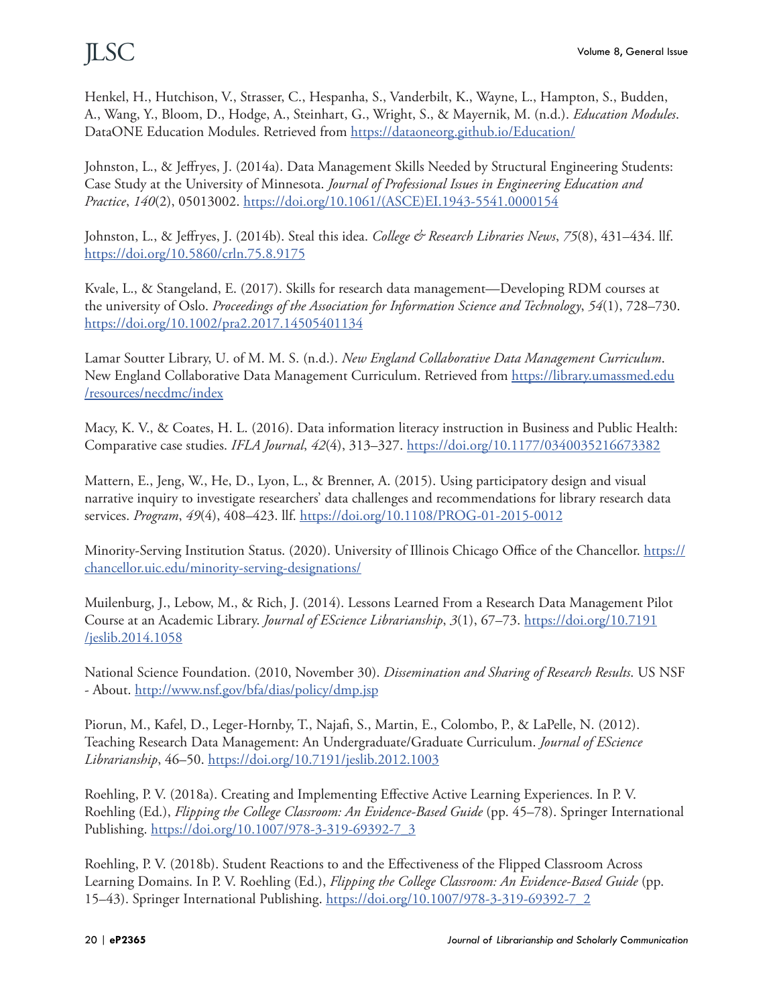Henkel, H., Hutchison, V., Strasser, C., Hespanha, S., Vanderbilt, K., Wayne, L., Hampton, S., Budden, A., Wang, Y., Bloom, D., Hodge, A., Steinhart, G., Wright, S., & Mayernik, M. (n.d.). *Education Modules*. DataONE Education Modules. Retrieved from https://dataoneorg.git[hu](http://u)b.io/Education/

Johnston, L., & Jeffryes, J. (2014a). Data Management Skills Needed by Structural Engineering Students: Case Study at the University of Minnesota. *Journal of Professional Issues in Engineering Education and Practice*, *140*(2), 05013002. [https://doi.org/10.1061/\(ASCE\)EI.1943-5541.0000154](https://doi.org/10.1061/(ASCE)EI.1943-5541.0000154)

Johnston, L., & Jeffryes, J. (2014b). Steal this idea. *College & Research Libraries News*, *75*(8), 431–434. llf. <https://doi.org/10.5860/crln.75.8.9175>

Kvale, L., & Stangeland, E. (2017). Skills for research data management—Developing RDM courses at the university of Oslo. *Proceedings of the Association for Information Science and Technology*, *54*(1), 728–730. <https://doi.org/10.1002/pra2.2017.14505401134>

Lamar Soutter Library, U. of M. M. S. (n.d.). *New England Collaborative Data Management Curriculum*. New England Collaborative Data Management Curriculum. Retrieved from [https://library.umassmed.edu](https://library.umassmed.edu/resources/necdmc/index) [/resources/necdmc/index](https://library.umassmed.edu/resources/necdmc/index)

Macy, K. V., & Coates, H. L. (2016). Data information literacy instruction in Business and Public Health: Comparative case studies. *IFLA Journal*, *42*(4), 313–327. <https://doi.org/10.1177/0340035216673382>

Mattern, E., Jeng, W., He, D., Lyon, L., & Brenner, A. (2015). Using participatory design and visual narrative inquiry to investigate researchers' data challenges and recommendations for library research data services. *Program*, *49*(4), 408–423. llf. <https://doi.org/10.1108/PROG-01-2015-0012>

Minority-Serving Institution Status. (2020). University of Illinois Chicago Office of the Chancellor. [https://](https://chancellor.uic.edu/minority-serving-designations/) [chancellor.uic.edu/minority-serving-designations/](https://chancellor.uic.edu/minority-serving-designations/)

Muilenburg, J., Lebow, M., & Rich, J. (2014). Lessons Learned From a Research Data Management Pilot Course at an Academic Library. *Journal of EScience Librarianship*, *3*(1), 67–73. [https://doi.org/10.7191](https://doi.org/10.7191/jeslib.2014.1058) [/jeslib.2014.1058](https://doi.org/10.7191/jeslib.2014.1058)

National Science Foundation. (2010, November 30). *Dissemination and Sharing of Research Results*. US NSF - About.<http://www.nsf.gov/bfa/dias/policy/dmp.jsp>

Piorun, M., Kafel, D., Leger-Hornby, T., Najafi, S., Martin, E., Colombo, P., & LaPelle, N. (2012). Teaching Research Data Management: An Undergraduate/Graduate Curriculum. *Journal of EScience Librarianship*, 46–50.<https://doi.org/10.7191/jeslib.2012.1003>

Roehling, P. V. (2018a). Creating and Implementing Effective Active Learning Experiences. In P. V. Roehling (Ed.), *Flipping the College Classroom: An Evidence-Based Guide* (pp. 45–78). Springer International Publishing. [https://doi.org/10.1007/978-3-319-69392-7\\_3](https://doi.org/10.1007/978-3-319-69392-7_3)

Roehling, P. V. (2018b). Student Reactions to and the Effectiveness of the Flipped Classroom Across Learning Domains. In P. V. Roehling (Ed.), *Flipping the College Classroom: An Evidence-Based Guide* (pp. 15–43). Springer International Publishing. [https://doi.org/10.1007/978-3-319-69392-7\\_2](https://doi.org/10.1007/978-3-319-69392-7_2)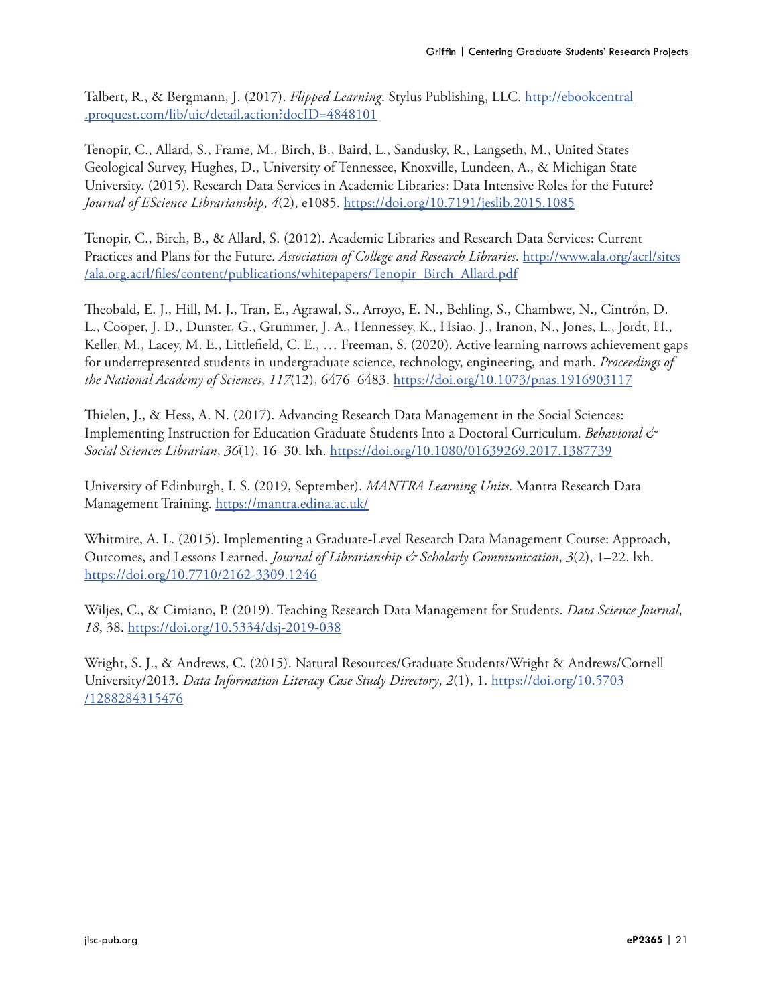Talbert, R., & Bergmann, J. (2017). *Flipped Learning*. Stylus Publishing, LLC. [http://ebookcentral](http://ebookcentral.proquest.com/lib/uic/detail.action?docID=4848101) [.proquest.com/lib/uic/detail.action?docID=4848101](http://ebookcentral.proquest.com/lib/uic/detail.action?docID=4848101)

Tenopir, C., Allard, S., Frame, M., Birch, B., Baird, L., Sandusky, R., Langseth, M., United States Geological Survey, Hughes, D., University of Tennessee, Knoxville, Lundeen, A., & Michigan State University. (2015). Research Data Services in Academic Libraries: Data Intensive Roles for the Future? *Journal of EScience Librarianship*, *4*(2), e1085. <https://doi.org/10.7191/jeslib.2015.1085>

Tenopir, C., Birch, B., & Allard, S. (2012). Academic Libraries and Research Data Services: Current Practices and Plans for the Future. *Association of College and Research Libraries*. [http://www.ala.org/acrl/sites](http://www.ala.org/acrl/sites/ala.org.acrl/files/content/publications/whitepapers/Tenopir_Birch_Allard.pdf) [/ala.org.acrl/files/content/publications/whitepapers/Tenopir\\_Birch\\_Allard.pdf](http://www.ala.org/acrl/sites/ala.org.acrl/files/content/publications/whitepapers/Tenopir_Birch_Allard.pdf)

Theobald, E. J., Hill, M. J., Tran, E., Agrawal, S., Arroyo, E. N., Behling, S., Chambwe, N., Cintrón, D. L., Cooper, J. D., Dunster, G., Grummer, J. A., Hennessey, K., Hsiao, J., Iranon, N., Jones, L., Jordt, H., Keller, M., Lacey, M. E., Littlefield, C. E., … Freeman, S. (2020). Active learning narrows achievement gaps for underrepresented students in undergraduate science, technology, engineering, and math. *Proceedings of the National Academy of Sciences*, *117*(12), 6476–6483.<https://doi.org/10.1073/pnas.1916903117>

Thielen, J., & Hess, A. N. (2017). Advancing Research Data Management in the Social Sciences: Implementing Instruction for Education Graduate Students Into a Doctoral Curriculum. *Behavioral & Social Sciences Librarian*, *36*(1), 16–30. lxh.<https://doi.org/10.1080/01639269.2017.1387739>

University of Edinburgh, I. S. (2019, September). *MANTRA Learning Units*. Mantra Research Data Management Training.<https://mantra.edina.ac.uk/>

Whitmire, A. L. (2015). Implementing a Graduate-Level Research Data Management Course: Approach, Outcomes, and Lessons Learned. *Journal of Librarianship & Scholarly Communication*, *3*(2), 1–22. lxh. <https://doi.org/10.7710/2162-3309.1246>

Wiljes, C., & Cimiano, P. (2019). Teaching Research Data Management for Students. *Data Science Journal*, *18*, 38.<https://doi.org/10.5334/dsj-2019-038>

Wright, S. J., & Andrews, C. (2015). Natural Resources/Graduate Students/Wright & Andrews/Cornell University/2013. *Data Information Literacy Case Study Directory*, *2*(1), 1. [https://doi.org/10.5703](https://doi.org/10.5703/1288284315476) [/1288284315476](https://doi.org/10.5703/1288284315476)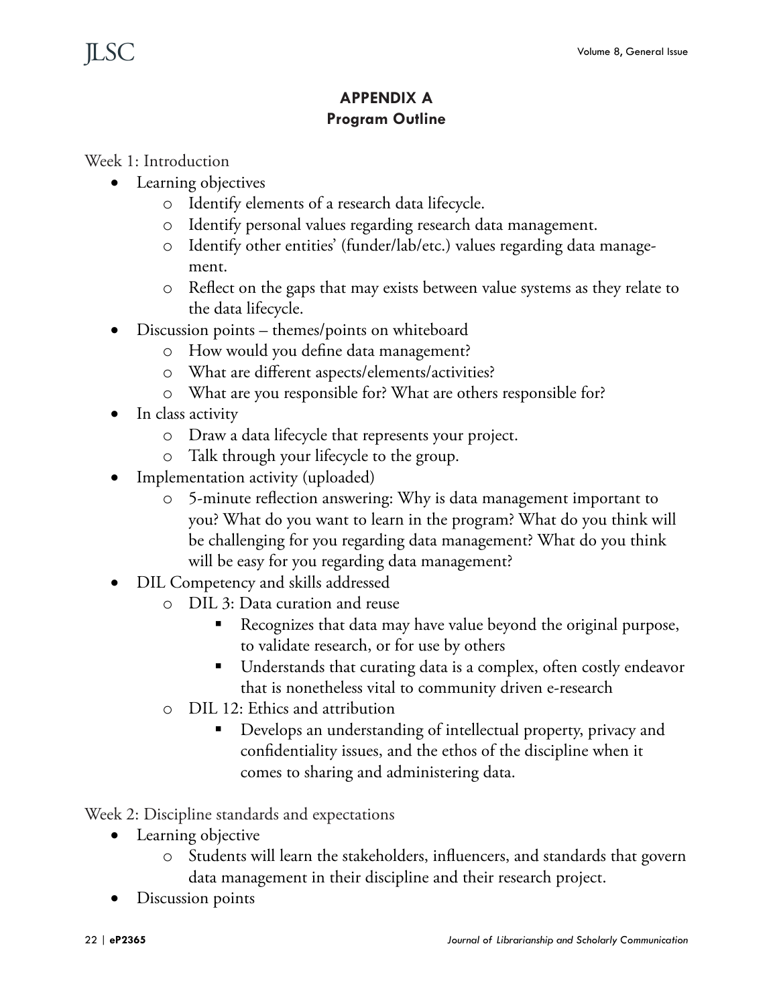### **APPENDIX A Program Outline**

### Week 1: Introduction

- Learning objectives
	- o Identify elements of a research data lifecycle.
	- o Identify personal values regarding research data management.
	- o Identify other entities' (funder/lab/etc.) values regarding data management.
	- o Reflect on the gaps that may exists between value systems as they relate to the data lifecycle.
- Discussion points themes/points on whiteboard
	- o How would you define data management?
	- o What are different aspects/elements/activities?
	- o What are you responsible for? What are others responsible for?
- In class activity
	- o Draw a data lifecycle that represents your project.
	- o Talk through your lifecycle to the group.
- Implementation activity (uploaded)
	- o 5-minute reflection answering: Why is data management important to you? What do you want to learn in the program? What do you think will be challenging for you regarding data management? What do you think will be easy for you regarding data management?
- DIL Competency and skills addressed
	- o DIL 3: Data curation and reuse
		- Recognizes that data may have value beyond the original purpose, to validate research, or for use by others
		- Understands that curating data is a complex, often costly endeavor that is nonetheless vital to community driven e-research
	- o DIL 12: Ethics and attribution
		- Develops an understanding of intellectual property, privacy and confidentiality issues, and the ethos of the discipline when it comes to sharing and administering data.

Week 2: Discipline standards and expectations

- Learning objective
	- o Students will learn the stakeholders, influencers, and standards that govern data management in their discipline and their research project.
- Discussion points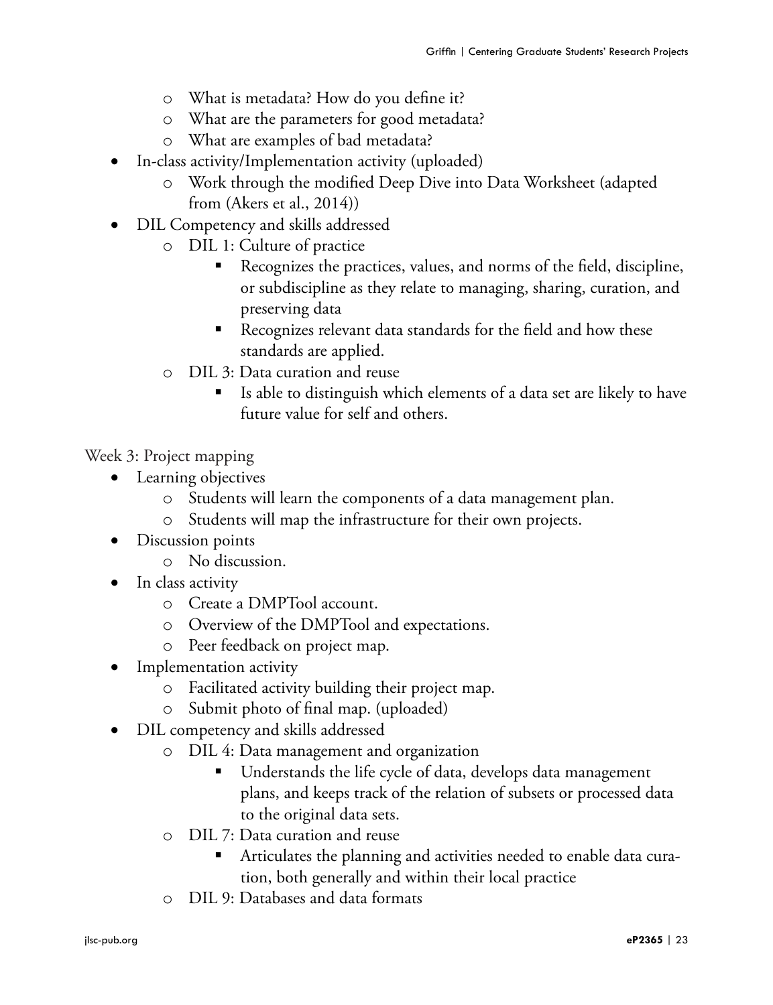- o What is metadata? How do you define it?
- o What are the parameters for good metadata?
- o What are examples of bad metadata?
- In-class activity/Implementation activity (uploaded)
	- o Work through the modified Deep Dive into Data Worksheet (adapted from (Akers et al., 2014))
- DIL Competency and skills addressed
	- o DIL 1: Culture of practice
		- Recognizes the practices, values, and norms of the field, discipline, or subdiscipline as they relate to managing, sharing, curation, and preserving data
		- Recognizes relevant data standards for the field and how these standards are applied.
	- o DIL 3: Data curation and reuse
		- Is able to distinguish which elements of a data set are likely to have future value for self and others.

Week 3: Project mapping

- Learning objectives
	- o Students will learn the components of a data management plan.
	- o Students will map the infrastructure for their own projects.
- Discussion points
	- o No discussion.
- In class activity
	- o Create a DMPTool account.
	- o Overview of the DMPTool and expectations.
	- o Peer feedback on project map.
- Implementation activity
	- o Facilitated activity building their project map.
	- o Submit photo of final map. (uploaded)
- • DIL competency and skills addressed
	- o DIL 4: Data management and organization
		- Understands the life cycle of data, develops data management plans, and keeps track of the relation of subsets or processed data to the original data sets.
	- o DIL 7: Data curation and reuse
		- Articulates the planning and activities needed to enable data curation, both generally and within their local practice
	- o DIL 9: Databases and data formats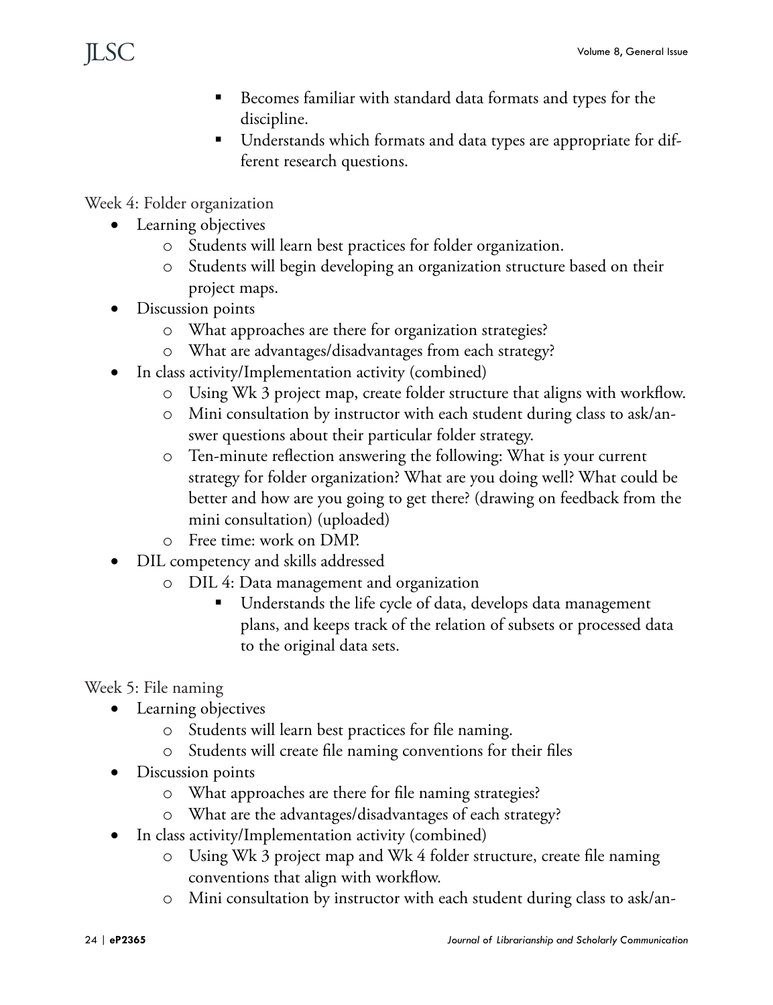- Becomes familiar with standard data formats and types for the discipline.
- Understands which formats and data types are appropriate for different research questions.

Week 4: Folder organization

- Learning objectives
	- o Students will learn best practices for folder organization.
	- o Students will begin developing an organization structure based on their project maps.
- Discussion points
	- o What approaches are there for organization strategies?
	- o What are advantages/disadvantages from each strategy?
- In class activity/Implementation activity (combined)
	- o Using Wk 3 project map, create folder structure that aligns with workflow.
	- o Mini consultation by instructor with each student during class to ask/answer questions about their particular folder strategy.
	- o Ten-minute reflection answering the following: What is your current strategy for folder organization? What are you doing well? What could be better and how are you going to get there? (drawing on feedback from the mini consultation) (uploaded)
	- o Free time: work on DMP.
- DIL competency and skills addressed
	- o DIL 4: Data management and organization
		- Understands the life cycle of data, develops data management plans, and keeps track of the relation of subsets or processed data to the original data sets.

Week 5: File naming

- Learning objectives
	- o Students will learn best practices for file naming.
	- o Students will create file naming conventions for their files
- Discussion points
	- o What approaches are there for file naming strategies?
	- o What are the advantages/disadvantages of each strategy?
- In class activity/Implementation activity (combined)
	- o Using Wk 3 project map and Wk 4 folder structure, create file naming conventions that align with workflow.
	- o Mini consultation by instructor with each student during class to ask/an-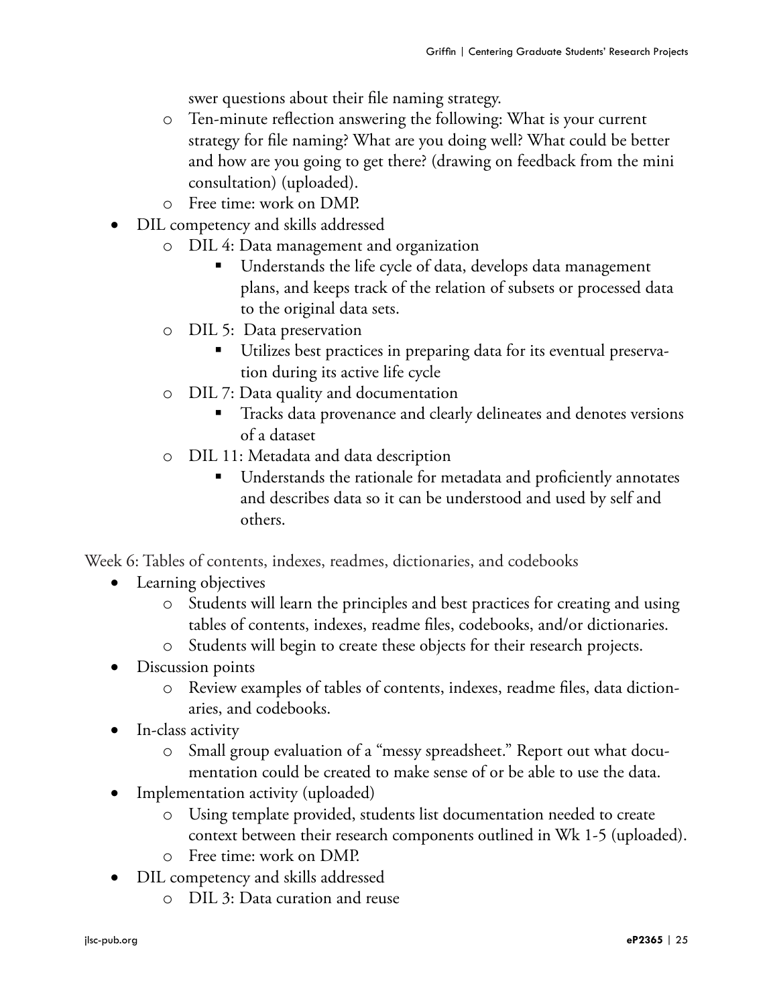swer questions about their file naming strategy.

- o Ten-minute reflection answering the following: What is your current strategy for file naming? What are you doing well? What could be better and how are you going to get there? (drawing on feedback from the mini consultation) (uploaded).
- o Free time: work on DMP.
- DIL competency and skills addressed
	- o DIL 4: Data management and organization
		- Understands the life cycle of data, develops data management plans, and keeps track of the relation of subsets or processed data to the original data sets.
	- o DIL 5: Data preservation
		- Utilizes best practices in preparing data for its eventual preservation during its active life cycle
	- o DIL 7: Data quality and documentation
		- Tracks data provenance and clearly delineates and denotes versions of a dataset
	- o DIL 11: Metadata and data description
		- Understands the rationale for metadata and proficiently annotates and describes data so it can be understood and used by self and others.

Week 6: Tables of contents, indexes, readmes, dictionaries, and codebooks

- Learning objectives
	- o Students will learn the principles and best practices for creating and using tables of contents, indexes, readme files, codebooks, and/or dictionaries.
	- o Students will begin to create these objects for their research projects.
- Discussion points
	- o Review examples of tables of contents, indexes, readme files, data dictionaries, and codebooks.
- In-class activity
	- o Small group evaluation of a "messy spreadsheet." Report out what documentation could be created to make sense of or be able to use the data.
- Implementation activity (uploaded)
	- o Using template provided, students list documentation needed to create context between their research components outlined in Wk 1-5 (uploaded).
	- o Free time: work on DMP.
- DIL competency and skills addressed
	- o DIL 3: Data curation and reuse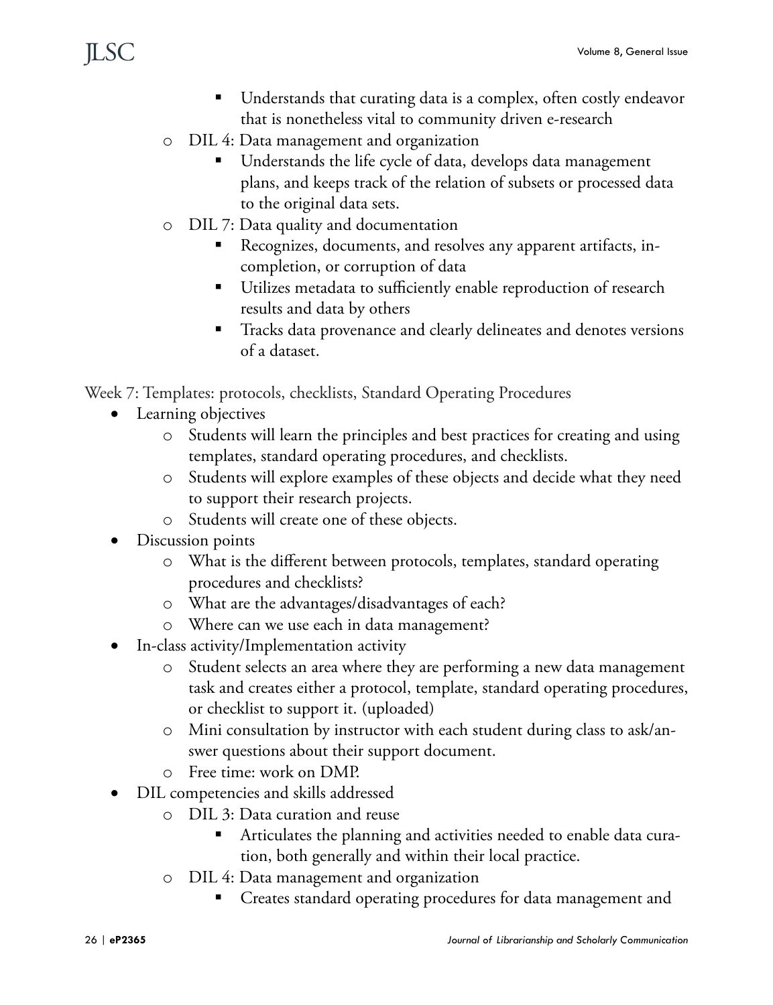- Understands that curating data is a complex, often costly endeavor that is nonetheless vital to community driven e-research
- o DIL 4: Data management and organization
	- Understands the life cycle of data, develops data management plans, and keeps track of the relation of subsets or processed data to the original data sets.
- o DIL 7: Data quality and documentation
	- Recognizes, documents, and resolves any apparent artifacts, incompletion, or corruption of data
	- Utilizes metadata to sufficiently enable reproduction of research results and data by others
	- **Tracks data provenance and clearly delineates and denotes versions** of a dataset.

Week 7: Templates: protocols, checklists, Standard Operating Procedures

- Learning objectives
	- o Students will learn the principles and best practices for creating and using templates, standard operating procedures, and checklists.
	- o Students will explore examples of these objects and decide what they need to support their research projects.
	- o Students will create one of these objects.
- Discussion points
	- o What is the different between protocols, templates, standard operating procedures and checklists?
	- o What are the advantages/disadvantages of each?
	- o Where can we use each in data management?
- In-class activity/Implementation activity
	- o Student selects an area where they are performing a new data management task and creates either a protocol, template, standard operating procedures, or checklist to support it. (uploaded)
	- o Mini consultation by instructor with each student during class to ask/answer questions about their support document.
	- o Free time: work on DMP.
- • DIL competencies and skills addressed
	- o DIL 3: Data curation and reuse
		- Articulates the planning and activities needed to enable data curation, both generally and within their local practice.
	- o DIL 4: Data management and organization
		- Creates standard operating procedures for data management and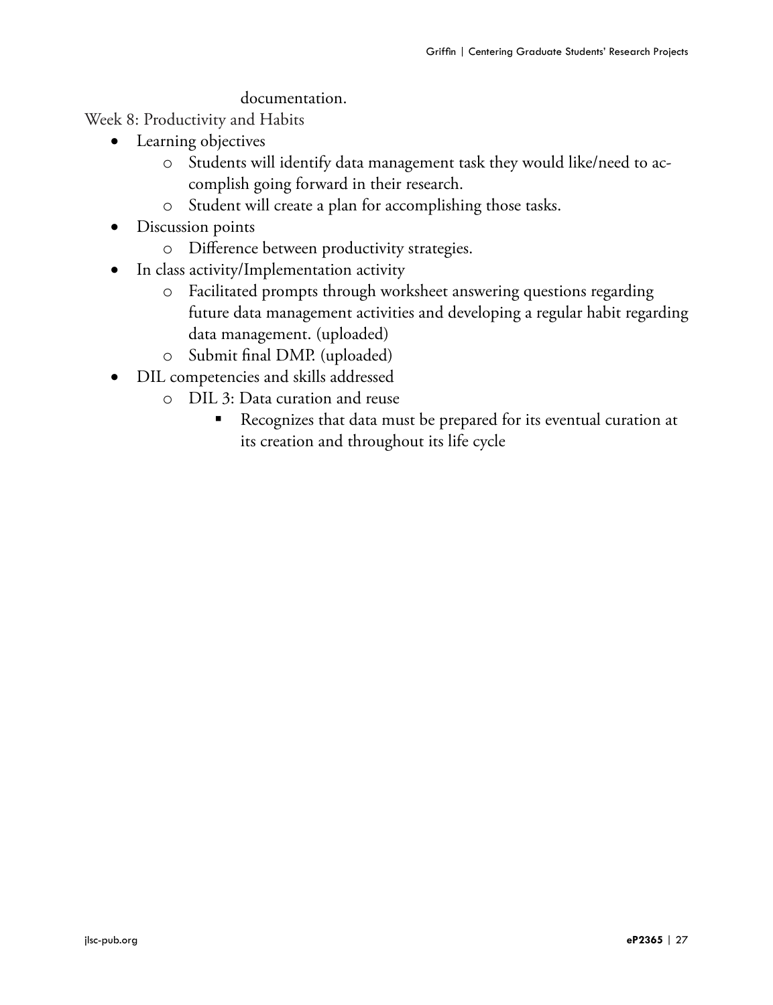#### documentation.

Week 8: Productivity and Habits

- Learning objectives
	- o Students will identify data management task they would like/need to accomplish going forward in their research.
	- o Student will create a plan for accomplishing those tasks.
- Discussion points
	- o Difference between productivity strategies.
- In class activity/Implementation activity
	- o Facilitated prompts through worksheet answering questions regarding future data management activities and developing a regular habit regarding data management. (uploaded)
	- o Submit final DMP. (uploaded)
- • DIL competencies and skills addressed
	- o DIL 3: Data curation and reuse
		- Recognizes that data must be prepared for its eventual curation at its creation and throughout its life cycle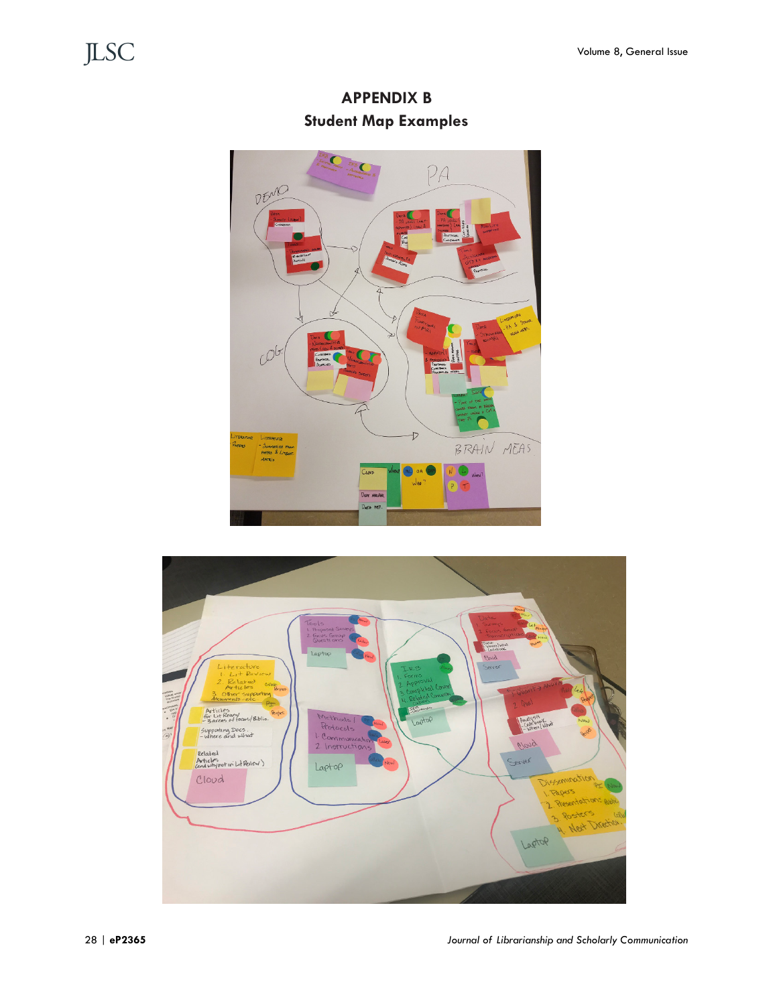**APPENDIX B Student Map Examples**